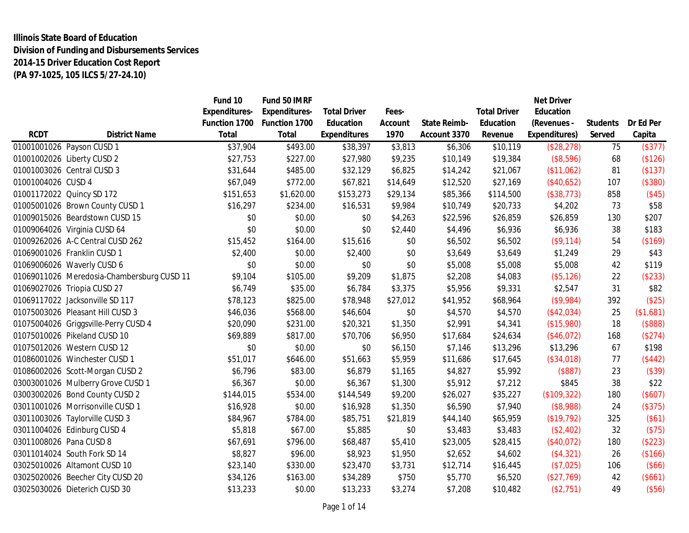# **Illinois State Board of Education Division of Funding and Disbursements Services 2014-15 Driver Education Cost Report (PA 97-1025, 105 ILCS 5/27-24.10)**

|                         |                                            | Fund 10       | Fund 50 IMRF  |                     |          |                     |                     | <b>Net Driver</b> |                 |           |
|-------------------------|--------------------------------------------|---------------|---------------|---------------------|----------|---------------------|---------------------|-------------------|-----------------|-----------|
|                         |                                            | Expenditures- | Expenditures- | <b>Total Driver</b> | Fees-    |                     | <b>Total Driver</b> | Education         |                 |           |
|                         |                                            | Function 1700 | Function 1700 | Education           | Account  | <b>State Reimb-</b> | Education           | (Revenues -       | <b>Students</b> | Dr Ed Per |
| <b>RCDT</b>             | <b>District Name</b>                       | Total         | <b>Total</b>  | <b>Expenditures</b> | 1970     | Account 3370        | Revenue             | Expenditures)     | Served          | Capita    |
|                         | 01001001026 Payson CUSD 1                  | \$37,904      | \$493.00      | \$38,397            | \$3,813  | \$6,306             | \$10,119            | (\$28,278)        | 75              | (\$377)   |
|                         | 01001002026 Liberty CUSD 2                 | \$27,753      | \$227.00      | \$27,980            | \$9,235  | \$10,149            | \$19,384            | (\$8,596)         | 68              | (\$126)   |
|                         | 01001003026 Central CUSD 3                 | \$31,644      | \$485.00      | \$32,129            | \$6,825  | \$14,242            | \$21,067            | (\$11,062)        | 81              | (\$137)   |
| 01001004026 CUSD 4      |                                            | \$67,049      | \$772.00      | \$67,821            | \$14,649 | \$12,520            | \$27,169            | (\$40,652)        | 107             | (\$380)   |
|                         | 01001172022 Quincy SD 172                  | \$151,653     | \$1,620.00    | \$153,273           | \$29,134 | \$85,366            | \$114,500           | (\$38,773)        | 858             | (\$45)    |
|                         | 01005001026 Brown County CUSD 1            | \$16,297      | \$234.00      | \$16,531            | \$9,984  | \$10,749            | \$20,733            | \$4,202           | 73              | \$58      |
|                         | 01009015026 Beardstown CUSD 15             | \$0           | \$0.00        | \$0                 | \$4,263  | \$22,596            | \$26,859            | \$26,859          | 130             | \$207     |
|                         | 01009064026 Virginia CUSD 64               | \$0           | \$0.00        | \$0                 | \$2,440  | \$4,496             | \$6,936             | \$6,936           | 38              | \$183     |
|                         | 01009262026 A-C Central CUSD 262           | \$15,452      | \$164.00      | \$15,616            | \$0      | \$6,502             | \$6,502             | (\$9,114)         | 54              | (\$169)   |
|                         | 01069001026 Franklin CUSD 1                | \$2,400       | \$0.00        | \$2,400             | \$0      | \$3,649             | \$3,649             | \$1,249           | 29              | \$43      |
|                         | 01069006026 Waverly CUSD 6                 | \$0           | \$0.00        | \$0                 | \$0      | \$5,008             | \$5,008             | \$5,008           | 42              | \$119     |
|                         | 01069011026 Meredosia-Chambersburg CUSD 11 | \$9,104       | \$105.00      | \$9,209             | \$1,875  | \$2,208             | \$4,083             | (\$5,126)         | 22              | (\$233)   |
|                         | 01069027026 Triopia CUSD 27                | \$6,749       | \$35.00       | \$6,784             | \$3,375  | \$5,956             | \$9,331             | \$2,547           | 31              | \$82      |
|                         | 01069117022 Jacksonville SD 117            | \$78,123      | \$825.00      | \$78,948            | \$27,012 | \$41,952            | \$68,964            | $($ \$9,984)      | 392             | (\$25)    |
|                         | 01075003026 Pleasant Hill CUSD 3           | \$46,036      | \$568.00      | \$46,604            | \$0      | \$4,570             | \$4,570             | (\$42,034)        | 25              | (\$1,681) |
|                         | 01075004026 Griggsville-Perry CUSD 4       | \$20,090      | \$231.00      | \$20,321            | \$1,350  | \$2,991             | \$4,341             | (\$15,980)        | 18              | (\$888)   |
|                         | 01075010026 Pikeland CUSD 10               | \$69,889      | \$817.00      | \$70,706            | \$6,950  | \$17,684            | \$24,634            | (\$46,072)        | 168             | (\$274)   |
|                         | 01075012026 Western CUSD 12                | \$0           | \$0.00        | \$0                 | \$6,150  | \$7,146             | \$13,296            | \$13,296          | 67              | \$198     |
|                         | 01086001026 Winchester CUSD 1              | \$51,017      | \$646.00      | \$51,663            | \$5,959  | \$11,686            | \$17,645            | (\$34,018)        | 77              | (\$442)   |
|                         | 01086002026 Scott-Morgan CUSD 2            | \$6,796       | \$83.00       | \$6,879             | \$1,165  | \$4,827             | \$5,992             | (\$887)           | 23              | (\$39)    |
|                         | 03003001026 Mulberry Grove CUSD 1          | \$6,367       | \$0.00        | \$6,367             | \$1,300  | \$5,912             | \$7,212             | \$845             | 38              | \$22      |
|                         | 03003002026 Bond County CUSD 2             | \$144,015     | \$534.00      | \$144,549           | \$9,200  | \$26,027            | \$35,227            | (\$109,322)       | 180             | (\$607)   |
|                         | 03011001026 Morrisonville CUSD 1           | \$16,928      | \$0.00        | \$16,928            | \$1,350  | \$6,590             | \$7,940             | (\$8,988)         | 24              | (\$375)   |
|                         | 03011003026 Taylorville CUSD 3             | \$84,967      | \$784.00      | \$85,751            | \$21,819 | \$44,140            | \$65,959            | (\$19,792)        | 325             | (\$61)    |
|                         | 03011004026 Edinburg CUSD 4                | \$5,818       | \$67.00       | \$5,885             | \$0      | \$3,483             | \$3,483             | (\$2,402)         | 32              | (\$75)    |
| 03011008026 Pana CUSD 8 |                                            | \$67,691      | \$796.00      | \$68,487            | \$5,410  | \$23,005            | \$28,415            | (\$40,072)        | 180             | (\$223)   |
|                         | 03011014024 South Fork SD 14               | \$8,827       | \$96.00       | \$8,923             | \$1,950  | \$2,652             | \$4,602             | (\$4,321)         | 26              | (\$166)   |
|                         | 03025010026 Altamont CUSD 10               | \$23,140      | \$330.00      | \$23,470            | \$3,731  | \$12,714            | \$16,445            | (\$7,025)         | 106             | (\$66)    |
|                         | 03025020026 Beecher City CUSD 20           | \$34,126      | \$163.00      | \$34,289            | \$750    | \$5,770             | \$6,520             | (\$27,769)        | 42              | (\$661)   |
|                         | 03025030026 Dieterich CUSD 30              | \$13,233      | \$0.00        | \$13,233            | \$3,274  | \$7,208             | \$10,482            | (\$2,751)         | 49              | (\$56)    |
|                         |                                            |               |               |                     |          |                     |                     |                   |                 |           |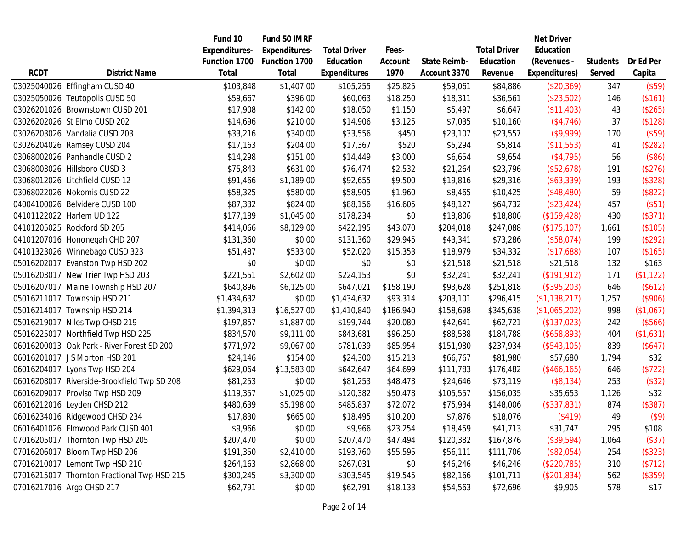|             |                                             | Fund 10              | Fund 50 IMRF         |                     |           |              |                     | <b>Net Driver</b> |                 |           |
|-------------|---------------------------------------------|----------------------|----------------------|---------------------|-----------|--------------|---------------------|-------------------|-----------------|-----------|
|             |                                             | <b>Expenditures-</b> | <b>Expenditures-</b> | <b>Total Driver</b> | Fees-     |              | <b>Total Driver</b> | Education         |                 |           |
|             |                                             | Function 1700        | Function 1700        | Education           | Account   | State Reimb- | Education           | (Revenues -       | <b>Students</b> | Dr Ed Per |
| <b>RCDT</b> | <b>District Name</b>                        | Total                | <b>Total</b>         | <b>Expenditures</b> | 1970      | Account 3370 | Revenue             | Expenditures)     | Served          | Capita    |
|             | 03025040026 Effingham CUSD 40               | \$103,848            | \$1,407.00           | \$105,255           | \$25,825  | \$59,061     | \$84,886            | (\$20,369)        | 347             | (\$59)    |
|             | 03025050026 Teutopolis CUSD 50              | \$59,667             | \$396.00             | \$60,063            | \$18,250  | \$18,311     | \$36,561            | (\$23,502)        | 146             | (\$161)   |
|             | 03026201026 Brownstown CUSD 201             | \$17,908             | \$142.00             | \$18,050            | \$1,150   | \$5,497      | \$6,647             | (\$11,403)        | 43              | (\$265)   |
|             | 03026202026 St Elmo CUSD 202                | \$14,696             | \$210.00             | \$14,906            | \$3,125   | \$7,035      | \$10,160            | (\$4,746)         | 37              | (\$128)   |
|             | 03026203026 Vandalia CUSD 203               | \$33,216             | \$340.00             | \$33,556            | \$450     | \$23,107     | \$23,557            | $($ \$9,999)      | 170             | (\$59)    |
|             | 03026204026 Ramsey CUSD 204                 | \$17,163             | \$204.00             | \$17,367            | \$520     | \$5,294      | \$5,814             | (\$11,553)        | 41              | (\$282)   |
|             | 03068002026 Panhandle CUSD 2                | \$14,298             | \$151.00             | \$14,449            | \$3,000   | \$6,654      | \$9,654             | ( \$4, 795)       | 56              | (\$86)    |
|             | 03068003026 Hillsboro CUSD 3                | \$75,843             | \$631.00             | \$76,474            | \$2,532   | \$21,264     | \$23,796            | (\$52,678)        | 191             | (\$276)   |
|             | 03068012026 Litchfield CUSD 12              | \$91,466             | \$1,189.00           | \$92,655            | \$9,500   | \$19,816     | \$29,316            | (\$63,339)        | 193             | (\$328)   |
|             | 03068022026 Nokomis CUSD 22                 | \$58,325             | \$580.00             | \$58,905            | \$1,960   | \$8,465      | \$10,425            | (\$48,480)        | 59              | (\$822)   |
|             | 04004100026 Belvidere CUSD 100              | \$87,332             | \$824.00             | \$88,156            | \$16,605  | \$48,127     | \$64,732            | (\$23,424)        | 457             | (\$51)    |
|             | 04101122022 Harlem UD 122                   | \$177,189            | \$1,045.00           | \$178,234           | \$0       | \$18,806     | \$18,806            | (\$159, 428)      | 430             | (\$371)   |
|             | 04101205025 Rockford SD 205                 | \$414,066            | \$8,129.00           | \$422,195           | \$43,070  | \$204,018    | \$247,088           | (\$175, 107)      | 1,661           | (\$105)   |
|             | 04101207016 Hononegah CHD 207               | \$131,360            | \$0.00               | \$131,360           | \$29,945  | \$43,341     | \$73,286            | (\$58,074)        | 199             | (\$292)   |
|             | 04101323026 Winnebago CUSD 323              | \$51,487             | \$533.00             | \$52,020            | \$15,353  | \$18,979     | \$34,332            | (\$17,688)        | 107             | (\$165)   |
|             | 05016202017 Evanston Twp HSD 202            | \$0                  | \$0.00               | \$0                 | \$0       | \$21,518     | \$21,518            | \$21,518          | 132             | \$163     |
|             | 05016203017 New Trier Twp HSD 203           | \$221,551            | \$2,602.00           | \$224,153           | \$0       | \$32,241     | \$32,241            | (\$191, 912)      | 171             | (\$1,122) |
|             | 05016207017 Maine Township HSD 207          | \$640,896            | \$6,125.00           | \$647,021           | \$158,190 | \$93,628     | \$251,818           | (\$395,203)       | 646             | (\$612)   |
|             | 05016211017 Township HSD 211                | \$1,434,632          | \$0.00               | \$1,434,632         | \$93,314  | \$203,101    | \$296,415           | (\$1,138,217)     | 1,257           | (\$906)   |
|             | 05016214017 Township HSD 214                | \$1,394,313          | \$16,527.00          | \$1,410,840         | \$186,940 | \$158,698    | \$345,638           | (\$1,065,202)     | 998             | (\$1,067) |
|             | 05016219017 Niles Twp CHSD 219              | \$197,857            | \$1,887.00           | \$199,744           | \$20,080  | \$42,641     | \$62,721            | (\$137,023)       | 242             | (\$566)   |
|             | 05016225017 Northfield Twp HSD 225          | \$834,570            | \$9,111.00           | \$843,681           | \$96,250  | \$88,538     | \$184,788           | (\$658,893)       | 404             | (\$1,631) |
|             | 06016200013 Oak Park - River Forest SD 200  | \$771,972            | \$9,067.00           | \$781,039           | \$85,954  | \$151,980    | \$237,934           | (\$543,105)       | 839             | (\$647)   |
|             | 06016201017 JS Morton HSD 201               | \$24,146             | \$154.00             | \$24,300            | \$15,213  | \$66,767     | \$81,980            | \$57,680          | 1,794           | \$32      |
|             | 06016204017 Lyons Twp HSD 204               | \$629,064            | \$13,583.00          | \$642,647           | \$64,699  | \$111,783    | \$176,482           | (\$466, 165)      | 646             | (\$722)   |
|             | 06016208017 Riverside-Brookfield Twp SD 208 | \$81,253             | \$0.00               | \$81,253            | \$48,473  | \$24,646     | \$73,119            | (\$8,134)         | 253             | (\$32)    |
|             | 06016209017 Proviso Twp HSD 209             | \$119,357            | \$1,025.00           | \$120,382           | \$50,478  | \$105,557    | \$156,035           | \$35,653          | 1,126           | \$32      |
|             | 06016212016 Leyden CHSD 212                 | \$480,639            | \$5,198.00           | \$485,837           | \$72,072  | \$75,934     | \$148,006           | (\$337,831)       | 874             | (\$387)   |
|             | 06016234016 Ridgewood CHSD 234              | \$17,830             | \$665.00             | \$18,495            | \$10,200  | \$7,876      | \$18,076            | (\$419)           | 49              | (\$9)     |
|             | 06016401026 Elmwood Park CUSD 401           | \$9,966              | \$0.00               | \$9,966             | \$23,254  | \$18,459     | \$41,713            | \$31,747          | 295             | \$108     |
|             | 07016205017 Thornton Twp HSD 205            | \$207,470            | \$0.00               | \$207,470           | \$47,494  | \$120,382    | \$167,876           | (\$39,594)        | 1,064           | (\$37)    |
|             | 07016206017 Bloom Twp HSD 206               | \$191,350            | \$2,410.00           | \$193,760           | \$55,595  | \$56,111     | \$111,706           | (\$82,054)        | 254             | (\$323)   |
|             | 07016210017 Lemont Twp HSD 210              | \$264,163            | \$2,868.00           | \$267,031           | \$0       | \$46,246     | \$46,246            | (\$220,785)       | 310             | (\$712)   |
|             | 07016215017 Thornton Fractional Twp HSD 215 | \$300,245            | \$3,300.00           | \$303,545           | \$19,545  | \$82,166     | \$101,711           | (\$201,834)       | 562             | (\$359)   |
|             | 07016217016 Argo CHSD 217                   | \$62,791             | \$0.00               | \$62,791            | \$18,133  | \$54,563     | \$72,696            | \$9,905           | 578             | \$17      |
|             |                                             |                      |                      |                     |           |              |                     |                   |                 |           |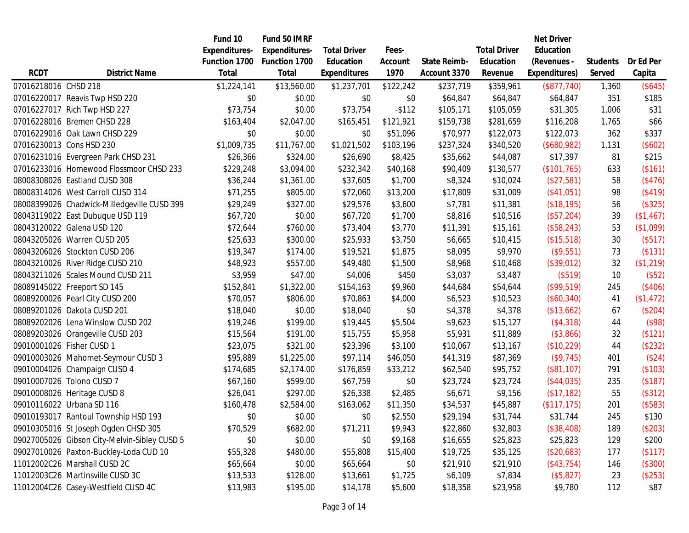|                      |                                              | Fund 10              | Fund 50 IMRF         |                     |           |              |                     | <b>Net Driver</b> |                 |           |
|----------------------|----------------------------------------------|----------------------|----------------------|---------------------|-----------|--------------|---------------------|-------------------|-----------------|-----------|
|                      |                                              | <b>Expenditures-</b> | <b>Expenditures-</b> | <b>Total Driver</b> | Fees-     |              | <b>Total Driver</b> | Education         |                 |           |
|                      |                                              | Function 1700        | Function 1700        | Education           | Account   | State Reimb- | Education           | (Revenues -       | <b>Students</b> | Dr Ed Per |
| <b>RCDT</b>          | <b>District Name</b>                         | Total                | Total                | <b>Expenditures</b> | 1970      | Account 3370 | Revenue             | Expenditures)     | Served          | Capita    |
| 07016218016 CHSD 218 |                                              | \$1,224,141          | \$13,560.00          | \$1,237,701         | \$122,242 | \$237,719    | \$359,961           | (\$877,740)       | 1,360           | (\$645)   |
|                      | 07016220017 Reavis Twp HSD 220               | \$0                  | \$0.00               | \$0                 | \$0       | \$64,847     | \$64,847            | \$64,847          | 351             | \$185     |
|                      | 07016227017 Rich Twp HSD 227                 | \$73,754             | \$0.00               | \$73,754            | $-$112$   | \$105,171    | \$105,059           | \$31,305          | 1,006           | \$31      |
|                      | 07016228016 Bremen CHSD 228                  | \$163,404            | \$2,047.00           | \$165,451           | \$121,921 | \$159,738    | \$281,659           | \$116,208         | 1,765           | \$66      |
|                      | 07016229016 Oak Lawn CHSD 229                | \$0                  | \$0.00               | \$0                 | \$51,096  | \$70,977     | \$122,073           | \$122,073         | 362             | \$337     |
|                      | 07016230013 Cons HSD 230                     | \$1,009,735          | \$11,767.00          | \$1,021,502         | \$103,196 | \$237,324    | \$340,520           | (\$680,982)       | 1,131           | (\$602)   |
|                      | 07016231016 Evergreen Park CHSD 231          | \$26,366             | \$324.00             | \$26,690            | \$8,425   | \$35,662     | \$44,087            | \$17,397          | 81              | \$215     |
|                      | 07016233016 Homewood Flossmoor CHSD 233      | \$229,248            | \$3,094.00           | \$232,342           | \$40,168  | \$90,409     | \$130,577           | (\$101,765)       | 633             | (\$161)   |
|                      | 08008308026 Eastland CUSD 308                | \$36,244             | \$1,361.00           | \$37,605            | \$1,700   | \$8,324      | \$10,024            | (\$27,581)        | 58              | (\$476)   |
|                      | 08008314026 West Carroll CUSD 314            | \$71,255             | \$805.00             | \$72,060            | \$13,200  | \$17,809     | \$31,009            | (\$41,051)        | 98              | (\$419)   |
|                      | 08008399026 Chadwick-Milledgeville CUSD 399  | \$29,249             | \$327.00             | \$29,576            | \$3,600   | \$7,781      | \$11,381            | (\$18,195)        | 56              | (\$325)   |
|                      | 08043119022 East Dubuque USD 119             | \$67,720             | \$0.00               | \$67,720            | \$1,700   | \$8,816      | \$10,516            | (\$57,204)        | 39              | (\$1,467) |
|                      | 08043120022 Galena USD 120                   | \$72,644             | \$760.00             | \$73,404            | \$3,770   | \$11,391     | \$15,161            | (\$58,243)        | 53              | (\$1,099) |
|                      | 08043205026 Warren CUSD 205                  | \$25,633             | \$300.00             | \$25,933            | \$3,750   | \$6,665      | \$10,415            | (\$15,518)        | 30              | (\$517)   |
|                      | 08043206026 Stockton CUSD 206                | \$19,347             | \$174.00             | \$19,521            | \$1,875   | \$8,095      | \$9,970             | (\$9,551)         | 73              | (\$131)   |
|                      | 08043210026 River Ridge CUSD 210             | \$48,923             | \$557.00             | \$49,480            | \$1,500   | \$8,968      | \$10,468            | (\$39,012)        | 32              | (\$1,219) |
|                      | 08043211026 Scales Mound CUSD 211            | \$3,959              | \$47.00              | \$4,006             | \$450     | \$3,037      | \$3,487             | (\$519)           | 10              | (\$52)    |
|                      | 08089145022 Freeport SD 145                  | \$152,841            | \$1,322.00           | \$154,163           | \$9,960   | \$44,684     | \$54,644            | (\$99,519)        | 245             | (\$406)   |
|                      | 08089200026 Pearl City CUSD 200              | \$70,057             | \$806.00             | \$70,863            | \$4,000   | \$6,523      | \$10,523            | (\$60,340)        | 41              | (\$1,472) |
|                      | 08089201026 Dakota CUSD 201                  | \$18,040             | \$0.00               | \$18,040            | \$0       | \$4,378      | \$4,378             | (\$13,662)        | 67              | (\$204)   |
|                      | 08089202026 Lena Winslow CUSD 202            | \$19,246             | \$199.00             | \$19,445            | \$5,504   | \$9,623      | \$15,127            | (\$4,318)         | 44              | (\$98)    |
|                      | 08089203026 Orangeville CUSD 203             | \$15,564             | \$191.00             | \$15,755            | \$5,958   | \$5,931      | \$11,889            | (\$3,866)         | 32              | (\$121)   |
|                      | 09010001026 Fisher CUSD 1                    | \$23,075             | \$321.00             | \$23,396            | \$3,100   | \$10,067     | \$13,167            | (\$10,229)        | 44              | (\$232)   |
|                      | 09010003026 Mahomet-Seymour CUSD 3           | \$95,889             | \$1,225.00           | \$97,114            | \$46,050  | \$41,319     | \$87,369            | (\$9,745)         | 401             | (\$24)    |
|                      | 09010004026 Champaign CUSD 4                 | \$174,685            | \$2,174.00           | \$176,859           | \$33,212  | \$62,540     | \$95,752            | (\$81,107)        | 791             | (\$103)   |
|                      | 09010007026 Tolono CUSD 7                    | \$67,160             | \$599.00             | \$67,759            | \$0       | \$23,724     | \$23,724            | (\$44,035)        | 235             | (\$187)   |
|                      | 09010008026 Heritage CUSD 8                  | \$26,041             | \$297.00             | \$26,338            | \$2,485   | \$6,671      | \$9,156             | (\$17,182)        | 55              | (\$312)   |
|                      | 09010116022 Urbana SD 116                    | \$160,478            | \$2,584.00           | \$163,062           | \$11,350  | \$34,537     | \$45,887            | (\$117,175)       | 201             | (\$583)   |
|                      | 09010193017 Rantoul Township HSD 193         | \$0                  | \$0.00               | \$0                 | \$2,550   | \$29,194     | \$31,744            | \$31,744          | 245             | \$130     |
|                      | 09010305016 St Joseph Ogden CHSD 305         | \$70,529             | \$682.00             | \$71,211            | \$9,943   | \$22,860     | \$32,803            | (\$38,408)        | 189             | (\$203)   |
|                      | 09027005026 Gibson City-Melvin-Sibley CUSD 5 | \$0                  | \$0.00               | \$0                 | \$9,168   | \$16,655     | \$25,823            | \$25,823          | 129             | \$200     |
|                      | 09027010026 Paxton-Buckley-Loda CUD 10       | \$55,328             | \$480.00             | \$55,808            | \$15,400  | \$19,725     | \$35,125            | (\$20,683)        | 177             | (\$117)   |
|                      | 11012002C26 Marshall CUSD 2C                 | \$65,664             | \$0.00               | \$65,664            | \$0       | \$21,910     | \$21,910            | (\$43,754)        | 146             | (\$300)   |
|                      | 11012003C26 Martinsville CUSD 3C             | \$13,533             | \$128.00             | \$13,661            | \$1,725   | \$6,109      | \$7,834             | (\$5,827)         | 23              | (\$253)   |
|                      | 11012004C26 Casey-Westfield CUSD 4C          | \$13,983             | \$195.00             | \$14,178            | \$5,600   | \$18,358     | \$23,958            | \$9,780           | 112             | \$87      |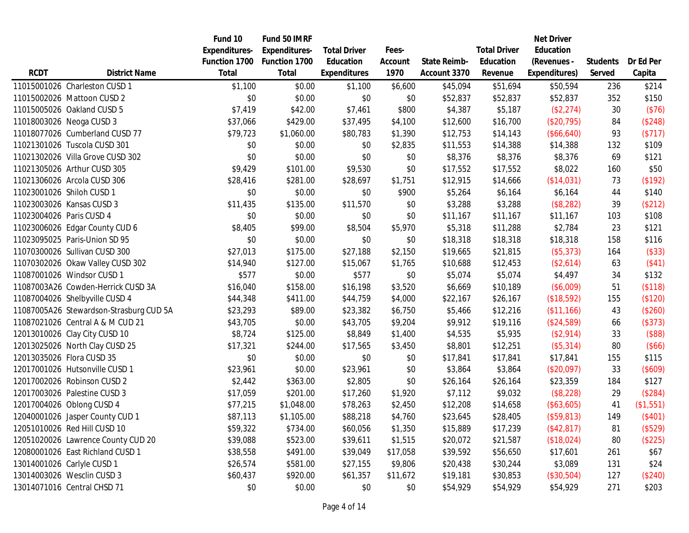|                          |                                         | Fund 10       | Fund 50 IMRF  |                     |          |              |                     | <b>Net Driver</b> |                 |           |
|--------------------------|-----------------------------------------|---------------|---------------|---------------------|----------|--------------|---------------------|-------------------|-----------------|-----------|
|                          |                                         | Expenditures- | Expenditures- | <b>Total Driver</b> | Fees-    |              | <b>Total Driver</b> | Education         |                 |           |
|                          |                                         | Function 1700 | Function 1700 | Education           | Account  | State Reimb- | Education           | (Revenues -       | <b>Students</b> | Dr Ed Per |
| <b>RCDT</b>              | <b>District Name</b>                    | <b>Total</b>  | Total         | <b>Expenditures</b> | 1970     | Account 3370 | Revenue             | Expenditures)     | Served          | Capita    |
|                          | 11015001026 Charleston CUSD 1           | \$1,100       | \$0.00        | \$1,100             | \$6,600  | \$45,094     | \$51,694            | \$50,594          | 236             | \$214     |
|                          | 11015002026 Mattoon CUSD 2              | \$0           | \$0.00        | \$0                 | \$0      | \$52,837     | \$52,837            | \$52,837          | 352             | \$150     |
|                          | 11015005026 Oakland CUSD 5              | \$7,419       | \$42.00       | \$7,461             | \$800    | \$4,387      | \$5,187             | (\$2,274)         | 30              | (\$76)    |
|                          | 11018003026 Neoga CUSD 3                | \$37,066      | \$429.00      | \$37,495            | \$4,100  | \$12,600     | \$16,700            | (\$20,795)        | 84              | (\$248)   |
|                          | 11018077026 Cumberland CUSD 77          | \$79,723      | \$1,060.00    | \$80,783            | \$1,390  | \$12,753     | \$14,143            | (\$66,640)        | 93              | (\$717)   |
|                          | 11021301026 Tuscola CUSD 301            | \$0           | \$0.00        | \$0                 | \$2,835  | \$11,553     | \$14,388            | \$14,388          | 132             | \$109     |
|                          | 11021302026 Villa Grove CUSD 302        | \$0           | \$0.00        | \$0                 | \$0      | \$8,376      | \$8,376             | \$8,376           | 69              | \$121     |
|                          | 11021305026 Arthur CUSD 305             | \$9,429       | \$101.00      | \$9,530             | \$0      | \$17,552     | \$17,552            | \$8,022           | 160             | \$50      |
|                          | 11021306026 Arcola CUSD 306             | \$28,416      | \$281.00      | \$28,697            | \$1,751  | \$12,915     | \$14,666            | (\$14,031)        | 73              | (\$192)   |
|                          | 11023001026 Shiloh CUSD 1               | \$0           | \$0.00        | \$0                 | \$900    | \$5,264      | \$6,164             | \$6,164           | 44              | \$140     |
|                          | 11023003026 Kansas CUSD 3               | \$11,435      | \$135.00      | \$11,570            | \$0      | \$3,288      | \$3,288             | (\$8,282)         | 39              | (\$212)   |
| 11023004026 Paris CUSD 4 |                                         | \$0           | \$0.00        | \$0                 | \$0      | \$11,167     | \$11,167            | \$11,167          | 103             | \$108     |
|                          | 11023006026 Edgar County CUD 6          | \$8,405       | \$99.00       | \$8,504             | \$5,970  | \$5,318      | \$11,288            | \$2,784           | 23              | \$121     |
|                          | 11023095025 Paris-Union SD 95           | \$0           | \$0.00        | \$0                 | \$0      | \$18,318     | \$18,318            | \$18,318          | 158             | \$116     |
|                          | 11070300026 Sullivan CUSD 300           | \$27,013      | \$175.00      | \$27,188            | \$2,150  | \$19,665     | \$21,815            | (\$5,373)         | 164             | (\$33)    |
|                          | 11070302026 Okaw Valley CUSD 302        | \$14,940      | \$127.00      | \$15,067            | \$1,765  | \$10,688     | \$12,453            | (\$2,614)         | 63              | $($ \$41) |
|                          | 11087001026 Windsor CUSD 1              | \$577         | \$0.00        | \$577               | \$0      | \$5,074      | \$5,074             | \$4,497           | 34              | \$132     |
|                          | 11087003A26 Cowden-Herrick CUSD 3A      | \$16,040      | \$158.00      | \$16,198            | \$3,520  | \$6,669      | \$10,189            | (\$6,009)         | 51              | (\$118)   |
|                          | 11087004026 Shelbyville CUSD 4          | \$44,348      | \$411.00      | \$44,759            | \$4,000  | \$22,167     | \$26,167            | (\$18,592)        | 155             | (\$120)   |
|                          | 11087005A26 Stewardson-Strasburg CUD 5A | \$23,293      | \$89.00       | \$23,382            | \$6,750  | \$5,466      | \$12,216            | (\$11,166)        | 43              | (\$260)   |
|                          | 11087021026 Central A & M CUD 21        | \$43,705      | \$0.00        | \$43,705            | \$9,204  | \$9,912      | \$19,116            | (\$24,589)        | 66              | (\$373)   |
|                          | 12013010026 Clay City CUSD 10           | \$8,724       | \$125.00      | \$8,849             | \$1,400  | \$4,535      | \$5,935             | (\$2,914)         | 33              | (\$88)    |
|                          | 12013025026 North Clay CUSD 25          | \$17,321      | \$244.00      | \$17,565            | \$3,450  | \$8,801      | \$12,251            | (\$5,314)         | 80              | (\$66)    |
|                          | 12013035026 Flora CUSD 35               | \$0           | \$0.00        | \$0                 | \$0      | \$17,841     | \$17,841            | \$17,841          | 155             | \$115     |
|                          | 12017001026 Hutsonville CUSD 1          | \$23,961      | \$0.00        | \$23,961            | \$0      | \$3,864      | \$3,864             | (\$20,097)        | 33              | (\$609)   |
|                          | 12017002026 Robinson CUSD 2             | \$2,442       | \$363.00      | \$2,805             | \$0      | \$26,164     | \$26,164            | \$23,359          | 184             | \$127     |
|                          | 12017003026 Palestine CUSD 3            | \$17,059      | \$201.00      | \$17,260            | \$1,920  | \$7,112      | \$9,032             | (\$8,228)         | 29              | (\$284)   |
|                          | 12017004026 Oblong CUSD 4               | \$77,215      | \$1,048.00    | \$78,263            | \$2,450  | \$12,208     | \$14,658            | (\$63,605)        | 41              | (\$1,551) |
|                          | 12040001026 Jasper County CUD 1         | \$87,113      | \$1,105.00    | \$88,218            | \$4,760  | \$23,645     | \$28,405            | (\$59,813)        | 149             | (\$401)   |
|                          | 12051010026 Red Hill CUSD 10            | \$59,322      | \$734.00      | \$60,056            | \$1,350  | \$15,889     | \$17,239            | (\$42,817)        | 81              | (\$529)   |
|                          | 12051020026 Lawrence County CUD 20      | \$39,088      | \$523.00      | \$39,611            | \$1,515  | \$20,072     | \$21,587            | (\$18,024)        | 80              | (\$225)   |
|                          | 12080001026 East Richland CUSD 1        | \$38,558      | \$491.00      | \$39,049            | \$17,058 | \$39,592     | \$56,650            | \$17,601          | 261             | \$67      |
|                          | 13014001026 Carlyle CUSD 1              | \$26,574      | \$581.00      | \$27,155            | \$9,806  | \$20,438     | \$30,244            | \$3,089           | 131             | \$24      |
|                          | 13014003026 Wesclin CUSD 3              | \$60,437      | \$920.00      | \$61,357            | \$11,672 | \$19,181     | \$30,853            | (\$30,504)        | 127             | (\$240)   |
|                          | 13014071016 Central CHSD 71             | \$0           | \$0.00        | \$0                 | \$0      | \$54,929     | \$54,929            | \$54,929          | 271             | \$203     |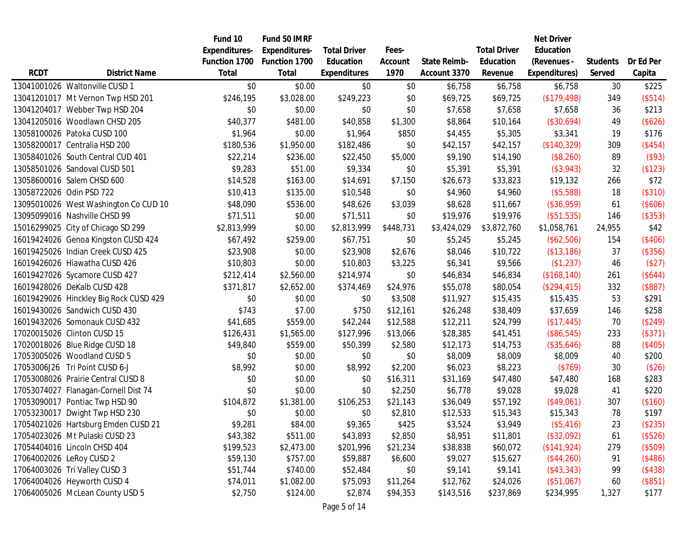|             |                                        | Fund 10              | Fund 50 IMRF  |                     |           |              |                     | <b>Net Driver</b> |                 |           |
|-------------|----------------------------------------|----------------------|---------------|---------------------|-----------|--------------|---------------------|-------------------|-----------------|-----------|
|             |                                        | <b>Expenditures-</b> | Expenditures- | <b>Total Driver</b> | Fees-     |              | <b>Total Driver</b> | Education         |                 |           |
|             |                                        | Function 1700        | Function 1700 | Education           | Account   | State Reimb- | Education           | (Revenues -       | <b>Students</b> | Dr Ed Per |
| <b>RCDT</b> | <b>District Name</b>                   | Total                | Total         | <b>Expenditures</b> | 1970      | Account 3370 | Revenue             | Expenditures)     | Served          | Capita    |
|             | 13041001026 Waltonville CUSD 1         | \$0                  | \$0.00        | \$0                 | \$0       | \$6,758      | \$6,758             | \$6,758           | 30              | \$225     |
|             | 13041201017 Mt Vernon Twp HSD 201      | \$246,195            | \$3,028.00    | \$249,223           | \$0       | \$69,725     | \$69,725            | (\$179,498)       | 349             | (\$514)   |
|             | 13041204017 Webber Twp HSD 204         | \$0                  | \$0.00        | \$0                 | \$0       | \$7,658      | \$7,658             | \$7,658           | 36              | \$213     |
|             | 13041205016 Woodlawn CHSD 205          | \$40,377             | \$481.00      | \$40,858            | \$1,300   | \$8,864      | \$10,164            | (\$30,694)        | 49              | (\$626)   |
|             | 13058100026 Patoka CUSD 100            | \$1,964              | \$0.00        | \$1,964             | \$850     | \$4,455      | \$5,305             | \$3,341           | 19              | \$176     |
|             | 13058200017 Centralia HSD 200          | \$180,536            | \$1,950.00    | \$182,486           | \$0       | \$42,157     | \$42,157            | (\$140,329)       | 309             | (\$454)   |
|             | 13058401026 South Central CUD 401      | \$22,214             | \$236.00      | \$22,450            | \$5,000   | \$9,190      | \$14,190            | (\$8,260)         | 89              | (\$93)    |
|             | 13058501026 Sandoval CUSD 501          | \$9,283              | \$51.00       | \$9,334             | \$0       | \$5,391      | \$5,391             | $($ \$3,943)      | 32              | (\$123)   |
|             | 13058600016 Salem CHSD 600             | \$14,528             | \$163.00      | \$14,691            | \$7,150   | \$26,673     | \$33,823            | \$19,132          | 266             | \$72      |
|             | 13058722026 Odin PSD 722               | \$10,413             | \$135.00      | \$10,548            | \$0       | \$4,960      | \$4,960             | (\$5,588)         | 18              | (\$310)   |
|             | 13095010026 West Washington Co CUD 10  | \$48,090             | \$536.00      | \$48,626            | \$3,039   | \$8,628      | \$11,667            | (\$36,959)        | 61              | (\$606)   |
|             | 13095099016 Nashville CHSD 99          | \$71,511             | \$0.00        | \$71,511            | \$0       | \$19,976     | \$19,976            | (\$51,535)        | 146             | (\$353)   |
|             | 15016299025 City of Chicago SD 299     | \$2,813,999          | \$0.00        | \$2,813,999         | \$448,731 | \$3,424,029  | \$3,872,760         | \$1,058,761       | 24,955          | \$42      |
|             | 16019424026 Genoa Kingston CUSD 424    | \$67,492             | \$259.00      | \$67,751            | \$0       | \$5,245      | \$5,245             | (\$62,506)        | 154             | (\$406)   |
|             | 16019425026 Indian Creek CUSD 425      | \$23,908             | \$0.00        | \$23,908            | \$2,676   | \$8,046      | \$10,722            | (\$13,186)        | 37              | (\$356)   |
|             | 16019426026 Hiawatha CUSD 426          | \$10,803             | \$0.00        | \$10,803            | \$3,225   | \$6,341      | \$9,566             | (\$1,237)         | 46              | (\$27)    |
|             | 16019427026 Sycamore CUSD 427          | \$212,414            | \$2,560.00    | \$214,974           | \$0       | \$46,834     | \$46,834            | (\$168, 140)      | 261             | (\$644)   |
|             | 16019428026 DeKalb CUSD 428            | \$371,817            | \$2,652.00    | \$374,469           | \$24,976  | \$55,078     | \$80,054            | (\$294,415)       | 332             | (\$887)   |
|             | 16019429026 Hinckley Big Rock CUSD 429 | \$0                  | \$0.00        | \$0                 | \$3,508   | \$11,927     | \$15,435            | \$15,435          | 53              | \$291     |
|             | 16019430026 Sandwich CUSD 430          | \$743                | \$7.00        | \$750               | \$12,161  | \$26,248     | \$38,409            | \$37,659          | 146             | \$258     |
|             | 16019432026 Somonauk CUSD 432          | \$41,685             | \$559.00      | \$42,244            | \$12,588  | \$12,211     | \$24,799            | (\$17,445)        | 70              | (\$249)   |
|             | 17020015026 Clinton CUSD 15            | \$126,431            | \$1,565.00    | \$127,996           | \$13,066  | \$28,385     | \$41,451            | (\$86,545)        | 233             | (\$371)   |
|             | 17020018026 Blue Ridge CUSD 18         | \$49,840             | \$559.00      | \$50,399            | \$2,580   | \$12,173     | \$14,753            | (\$35,646)        | 88              | (\$405)   |
|             | 17053005026 Woodland CUSD 5            | \$0                  | \$0.00        | \$0                 | \$0       | \$8,009      | \$8,009             | \$8,009           | 40              | \$200     |
|             | 17053006J26 Tri Point CUSD 6-J         | \$8,992              | \$0.00        | \$8,992             | \$2,200   | \$6,023      | \$8,223             | (\$769)           | 30              | (\$26)    |
|             | 17053008026 Prairie Central CUSD 8     | \$0                  | \$0.00        | \$0                 | \$16,311  | \$31,169     | \$47,480            | \$47,480          | 168             | \$283     |
|             | 17053074027 Flanagan-Cornell Dist 74   | \$0                  | \$0.00        | \$0                 | \$2,250   | \$6,778      | \$9,028             | \$9,028           | 41              | \$220     |
|             | 17053090017 Pontiac Twp HSD 90         | \$104,872            | \$1,381.00    | \$106,253           | \$21,143  | \$36,049     | \$57,192            | (\$49,061)        | 307             | (\$160)   |
|             | 17053230017 Dwight Twp HSD 230         | \$0                  | \$0.00        | \$0                 | \$2,810   | \$12,533     | \$15,343            | \$15,343          | 78              | \$197     |
|             | 17054021026 Hartsburg Emden CUSD 21    | \$9,281              | \$84.00       | \$9,365             | \$425     | \$3,524      | \$3,949             | (\$5,416)         | 23              | (\$235)   |
|             | 17054023026 Mt Pulaski CUSD 23         | \$43,382             | \$511.00      | \$43,893            | \$2,850   | \$8,951      | \$11,801            | (\$32,092)        | 61              | (\$526)   |
|             | 17054404016 Lincoln CHSD 404           | \$199,523            | \$2,473.00    | \$201,996           | \$21,234  | \$38,838     | \$60,072            | (\$141,924)       | 279             | (\$509)   |
|             | 17064002026 LeRoy CUSD 2               | \$59,130             | \$757.00      | \$59,887            | \$6,600   | \$9,027      | \$15,627            | (\$44,260)        | 91              | (\$486)   |
|             | 17064003026 Tri Valley CUSD 3          | \$51,744             | \$740.00      | \$52,484            | \$0       | \$9,141      | \$9,141             | $($ \$43,343)     | 99              | (\$438)   |
|             | 17064004026 Heyworth CUSD 4            | \$74,011             | \$1,082.00    | \$75,093            | \$11,264  | \$12,762     | \$24,026            | (\$51,067)        | 60              | (\$851)   |
|             | 17064005026 McLean County USD 5        | \$2,750              | \$124.00      | \$2,874             | \$94,353  | \$143,516    | \$237,869           | \$234,995         | 1,327           | \$177     |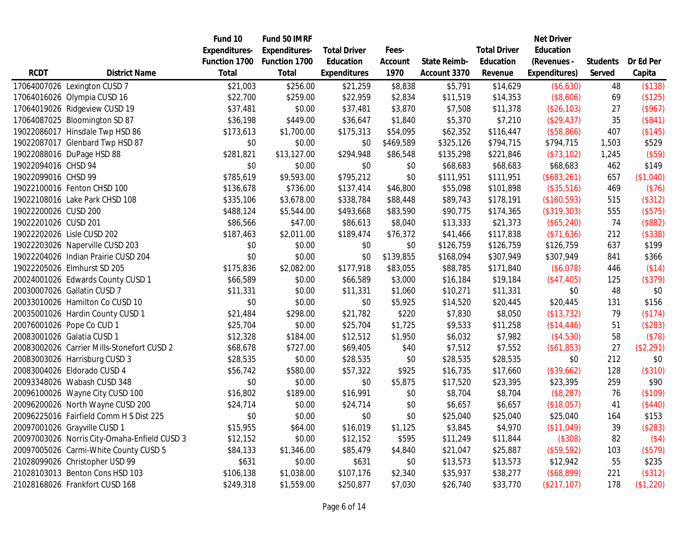|                      |                                              | Fund 10              | Fund 50 IMRF         |                     |           |              |                     | <b>Net Driver</b> |                 |           |
|----------------------|----------------------------------------------|----------------------|----------------------|---------------------|-----------|--------------|---------------------|-------------------|-----------------|-----------|
|                      |                                              | <b>Expenditures-</b> | <b>Expenditures-</b> | <b>Total Driver</b> | Fees-     |              | <b>Total Driver</b> | Education         |                 |           |
|                      |                                              | Function 1700        | Function 1700        | Education           | Account   | State Reimb- | Education           | (Revenues -       | <b>Students</b> | Dr Ed Per |
| <b>RCDT</b>          | <b>District Name</b>                         | Total                | <b>Total</b>         | <b>Expenditures</b> | 1970      | Account 3370 | Revenue             | Expenditures)     | Served          | Capita    |
|                      | 17064007026 Lexington CUSD 7                 | \$21,003             | \$256.00             | \$21,259            | \$8,838   | \$5,791      | \$14,629            | (\$6,630)         | 48              | (\$138)   |
|                      | 17064016026 Olympia CUSD 16                  | \$22,700             | \$259.00             | \$22,959            | \$2,834   | \$11,519     | \$14,353            | (\$8,606)         | 69              | (\$125)   |
|                      | 17064019026 Ridgeview CUSD 19                | \$37,481             | \$0.00               | \$37,481            | \$3,870   | \$7,508      | \$11,378            | (\$26,103)        | 27              | (\$967)   |
|                      | 17064087025 Bloomington SD 87                | \$36,198             | \$449.00             | \$36,647            | \$1,840   | \$5,370      | \$7,210             | (\$29,437)        | 35              | (\$841)   |
|                      | 19022086017 Hinsdale Twp HSD 86              | \$173,613            | \$1,700.00           | \$175,313           | \$54,095  | \$62,352     | \$116,447           | (\$58,866)        | 407             | (\$145)   |
|                      | 19022087017 Glenbard Twp HSD 87              | \$0                  | \$0.00               | \$0                 | \$469,589 | \$325,126    | \$794,715           | \$794,715         | 1,503           | \$529     |
|                      | 19022088016 DuPage HSD 88                    | \$281,821            | \$13,127.00          | \$294,948           | \$86,548  | \$135,298    | \$221,846           | (\$73,102)        | 1,245           | (\$59)    |
| 19022094016 CHSD 94  |                                              | \$0                  | \$0.00               | \$0                 | \$0       | \$68,683     | \$68,683            | \$68,683          | 462             | \$149     |
| 19022099016 CHSD 99  |                                              | \$785,619            | \$9,593.00           | \$795,212           | \$0       | \$111,951    | \$111,951           | (\$683,261)       | 657             | (\$1,040) |
|                      | 19022100016 Fenton CHSD 100                  | \$136,678            | \$736.00             | \$137,414           | \$46,800  | \$55,098     | \$101,898           | (\$35,516)        | 469             | (\$76)    |
|                      | 19022108016 Lake Park CHSD 108               | \$335,106            | \$3,678.00           | \$338,784           | \$88,448  | \$89,743     | \$178,191           | (\$160,593)       | 515             | (\$312)   |
| 19022200026 CUSD 200 |                                              | \$488,124            | \$5,544.00           | \$493,668           | \$83,590  | \$90,775     | \$174,365           | (\$319,303)       | 555             | (\$575)   |
| 19022201026 CUSD 201 |                                              | \$86,566             | \$47.00              | \$86,613            | \$8,040   | \$13,333     | \$21,373            | (\$65,240)        | 74              | (\$882)   |
|                      | 19022202026 Lisle CUSD 202                   | \$187,463            | \$2,011.00           | \$189,474           | \$76,372  | \$41,466     | \$117,838           | (\$71,636)        | 212             | (\$338)   |
|                      | 19022203026 Naperville CUSD 203              | \$0                  | \$0.00               | \$0                 | \$0       | \$126,759    | \$126,759           | \$126,759         | 637             | \$199     |
|                      | 19022204026 Indian Prairie CUSD 204          | \$0                  | \$0.00               | \$0                 | \$139,855 | \$168,094    | \$307,949           | \$307,949         | 841             | \$366     |
|                      | 19022205026 Elmhurst SD 205                  | \$175,836            | \$2,082.00           | \$177,918           | \$83,055  | \$88,785     | \$171,840           | (\$6,078)         | 446             | (\$14)    |
|                      | 20024001026 Edwards County CUSD 1            | \$66,589             | \$0.00               | \$66,589            | \$3,000   | \$16,184     | \$19,184            | (\$47,405)        | 125             | (\$379)   |
|                      | 20030007026 Gallatin CUSD 7                  | \$11,331             | \$0.00               | \$11,331            | \$1,060   | \$10,271     | \$11,331            | \$0               | 48              | \$0       |
|                      | 20033010026 Hamilton Co CUSD 10              | \$0                  | \$0.00               | \$0                 | \$5,925   | \$14,520     | \$20,445            | \$20,445          | 131             | \$156     |
|                      | 20035001026 Hardin County CUSD 1             | \$21,484             | \$298.00             | \$21,782            | \$220     | \$7,830      | \$8,050             | (\$13,732)        | 79              | (\$174)   |
|                      | 20076001026 Pope Co CUD 1                    | \$25,704             | \$0.00               | \$25,704            | \$1,725   | \$9,533      | \$11,258            | (\$14,446)        | 51              | (\$283)   |
|                      | 20083001026 Galatia CUSD 1                   | \$12,328             | \$184.00             | \$12,512            | \$1,950   | \$6,032      | \$7,982             | (\$4,530)         | 58              | (\$78)    |
|                      | 20083002026 Carrier Mills-Stonefort CUSD 2   | \$68,678             | \$727.00             | \$69,405            | \$40      | \$7,512      | \$7,552             | (\$61,853)        | 27              | (\$2,291) |
|                      | 20083003026 Harrisburg CUSD 3                | \$28,535             | \$0.00               | \$28,535            | \$0       | \$28,535     | \$28,535            | \$0               | 212             | \$0       |
|                      | 20083004026 Eldorado CUSD 4                  | \$56,742             | \$580.00             | \$57,322            | \$925     | \$16,735     | \$17,660            | (\$39,662)        | 128             | (\$310)   |
|                      | 20093348026 Wabash CUSD 348                  | \$0                  | \$0.00               | \$0                 | \$5,875   | \$17,520     | \$23,395            | \$23,395          | 259             | \$90      |
|                      | 20096100026 Wayne City CUSD 100              | \$16,802             | \$189.00             | \$16,991            | \$0       | \$8,704      | \$8,704             | (\$8,287)         | 76              | (\$109)   |
|                      | 20096200026 North Wayne CUSD 200             | \$24,714             | \$0.00               | \$24,714            | \$0       | \$6,657      | \$6,657             | (\$18,057)        | 41              | (\$440)   |
|                      | 20096225016 Fairfield Comm H S Dist 225      | \$0                  | \$0.00               | \$0                 | \$0       | \$25,040     | \$25,040            | \$25,040          | 164             | \$153     |
|                      | 20097001026 Grayville CUSD 1                 | \$15,955             | \$64.00              | \$16,019            | \$1,125   | \$3,845      | \$4,970             | (\$11,049)        | 39              | (\$283)   |
|                      | 20097003026 Norris City-Omaha-Enfield CUSD 3 | \$12,152             | \$0.00               | \$12,152            | \$595     | \$11,249     | \$11,844            | (\$308)           | 82              | (\$4)     |
|                      | 20097005026 Carmi-White County CUSD 5        | \$84,133             | \$1,346.00           | \$85,479            | \$4,840   | \$21,047     | \$25,887            | (\$59,592)        | 103             | (\$579)   |
|                      | 21028099026 Christopher USD 99               | \$631                | \$0.00               | \$631               | \$0       | \$13,573     | \$13,573            | \$12,942          | 55              | \$235     |
|                      | 21028103013 Benton Cons HSD 103              | \$106,138            | \$1,038.00           | \$107,176           | \$2,340   | \$35,937     | \$38,277            | (\$68,899)        | 221             | (\$312)   |
|                      | 21028168026 Frankfort CUSD 168               | \$249,318            | \$1,559.00           | \$250,877           | \$7,030   | \$26,740     | \$33,770            | (\$217,107)       | 178             | (\$1,220) |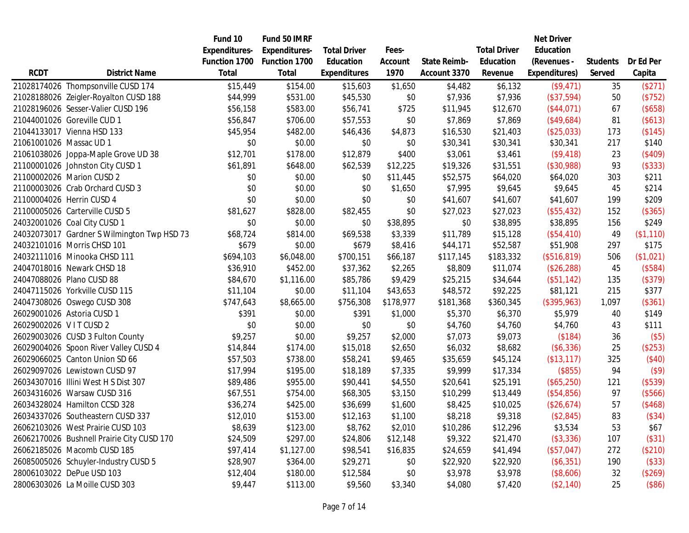|                         |                                             | Fund 10              | Fund 50 IMRF         |                     |           |                     |                     | <b>Net Driver</b> |                 |           |
|-------------------------|---------------------------------------------|----------------------|----------------------|---------------------|-----------|---------------------|---------------------|-------------------|-----------------|-----------|
|                         |                                             | <b>Expenditures-</b> | <b>Expenditures-</b> | <b>Total Driver</b> | Fees-     |                     | <b>Total Driver</b> | Education         |                 |           |
|                         |                                             | Function 1700        | Function 1700        | Education           | Account   | <b>State Reimb-</b> | Education           | (Revenues -       | <b>Students</b> | Dr Ed Per |
| <b>RCDT</b>             | <b>District Name</b>                        | Total                | Total                | <b>Expenditures</b> | 1970      | Account 3370        | Revenue             | Expenditures)     | Served          | Capita    |
|                         | 21028174026 Thompsonville CUSD 174          | \$15,449             | \$154.00             | \$15,603            | \$1,650   | \$4,482             | \$6,132             | (\$9,471)         | 35              | (\$271)   |
|                         | 21028188026 Zeigler-Royalton CUSD 188       | \$44,999             | \$531.00             | \$45,530            | \$0       | \$7,936             | \$7,936             | $($ \$37,594)     | 50              | (\$752)   |
|                         | 21028196026 Sesser-Valier CUSD 196          | \$56,158             | \$583.00             | \$56,741            | \$725     | \$11,945            | \$12,670            | (\$44,071)        | 67              | (\$658)   |
|                         | 21044001026 Goreville CUD 1                 | \$56,847             | \$706.00             | \$57,553            | \$0       | \$7,869             | \$7,869             | (\$49,684)        | 81              | (\$613)   |
|                         | 21044133017 Vienna HSD 133                  | \$45,954             | \$482.00             | \$46,436            | \$4,873   | \$16,530            | \$21,403            | (\$25,033)        | 173             | (\$145)   |
| 21061001026 Massac UD 1 |                                             | \$0                  | \$0.00               | \$0                 | \$0       | \$30,341            | \$30,341            | \$30,341          | 217             | \$140     |
|                         | 21061038026 Joppa-Maple Grove UD 38         | \$12,701             | \$178.00             | \$12,879            | \$400     | \$3,061             | \$3,461             | (\$9,418)         | 23              | (\$409)   |
|                         | 21100001026 Johnston City CUSD 1            | \$61,891             | \$648.00             | \$62,539            | \$12,225  | \$19,326            | \$31,551            | (\$30,988)        | 93              | (\$333)   |
|                         | 21100002026 Marion CUSD 2                   | \$0                  | \$0.00               | \$0                 | \$11,445  | \$52,575            | \$64,020            | \$64,020          | 303             | \$211     |
|                         | 21100003026 Crab Orchard CUSD 3             | \$0                  | \$0.00               | \$0                 | \$1,650   | \$7,995             | \$9,645             | \$9,645           | 45              | \$214     |
|                         | 21100004026 Herrin CUSD 4                   | \$0                  | \$0.00               | \$0                 | \$0       | \$41,607            | \$41,607            | \$41,607          | 199             | \$209     |
|                         | 21100005026 Carterville CUSD 5              | \$81,627             | \$828.00             | \$82,455            | \$0       | \$27,023            | \$27,023            | (\$55,432)        | 152             | (\$365)   |
|                         | 24032001026 Coal City CUSD 1                | \$0                  | \$0.00               | \$0                 | \$38,895  | \$0                 | \$38,895            | \$38,895          | 156             | \$249     |
|                         | 24032073017 Gardner S Wilmington Twp HSD 73 | \$68,724             | \$814.00             | \$69,538            | \$3,339   | \$11,789            | \$15,128            | $($ \$54,410)     | 49              | (\$1,110) |
|                         | 24032101016 Morris CHSD 101                 | \$679                | \$0.00               | \$679               | \$8,416   | \$44,171            | \$52,587            | \$51,908          | 297             | \$175     |
|                         | 24032111016 Minooka CHSD 111                | \$694,103            | \$6,048.00           | \$700,151           | \$66,187  | \$117,145           | \$183,332           | (\$516, 819)      | 506             | (\$1,021) |
|                         | 24047018016 Newark CHSD 18                  | \$36,910             | \$452.00             | \$37,362            | \$2,265   | \$8,809             | \$11,074            | (\$26,288)        | 45              | (\$584)   |
|                         | 24047088026 Plano CUSD 88                   | \$84,670             | \$1,116.00           | \$85,786            | \$9,429   | \$25,215            | \$34,644            | $($ \$51,142 $)$  | 135             | (\$379)   |
|                         | 24047115026 Yorkville CUSD 115              | \$11,104             | \$0.00               | \$11,104            | \$43,653  | \$48,572            | \$92,225            | \$81,121          | 215             | \$377     |
|                         | 24047308026 Oswego CUSD 308                 | \$747,643            | \$8,665.00           | \$756,308           | \$178,977 | \$181,368           | \$360,345           | (\$395,963)       | 1,097           | (\$361)   |
|                         | 26029001026 Astoria CUSD 1                  | \$391                | \$0.00               | \$391               | \$1,000   | \$5,370             | \$6,370             | \$5,979           | 40              | \$149     |
| 26029002026 VITCUSD 2   |                                             | \$0                  | \$0.00               | \$0                 | \$0       | \$4,760             | \$4,760             | \$4,760           | 43              | \$111     |
|                         | 26029003026 CUSD 3 Fulton County            | \$9,257              | \$0.00               | \$9,257             | \$2,000   | \$7,073             | \$9,073             | (\$184)           | 36              | (\$5)     |
|                         | 26029004026 Spoon River Valley CUSD 4       | \$14,844             | \$174.00             | \$15,018            | \$2,650   | \$6,032             | \$8,682             | (\$6,336)         | 25              | (\$253)   |
|                         | 26029066025 Canton Union SD 66              | \$57,503             | \$738.00             | \$58,241            | \$9,465   | \$35,659            | \$45,124            | (\$13,117)        | 325             | (\$40)    |
|                         | 26029097026 Lewistown CUSD 97               | \$17,994             | \$195.00             | \$18,189            | \$7,335   | \$9,999             | \$17,334            | (\$855)           | 94              | $($ \$9)  |
|                         | 26034307016 Illini West H S Dist 307        | \$89,486             | \$955.00             | \$90,441            | \$4,550   | \$20,641            | \$25,191            | (\$65,250)        | 121             | (\$539)   |
|                         | 26034316026 Warsaw CUSD 316                 | \$67,551             | \$754.00             | \$68,305            | \$3,150   | \$10,299            | \$13,449            | (\$54,856)        | 97              | (\$566)   |
|                         | 26034328024 Hamilton CCSD 328               | \$36,274             | \$425.00             | \$36,699            | \$1,600   | \$8,425             | \$10,025            | (\$26,674)        | 57              | (\$468)   |
|                         | 26034337026 Southeastern CUSD 337           | \$12,010             | \$153.00             | \$12,163            | \$1,100   | \$8,218             | \$9,318             | (\$2,845)         | 83              | (\$34)    |
|                         | 26062103026 West Prairie CUSD 103           | \$8,639              | \$123.00             | \$8,762             | \$2,010   | \$10,286            | \$12,296            | \$3,534           | 53              | \$67      |
|                         | 26062170026 Bushnell Prairie City CUSD 170  | \$24,509             | \$297.00             | \$24,806            | \$12,148  | \$9,322             | \$21,470            | (\$3,336)         | 107             | (\$31)    |
|                         | 26062185026 Macomb CUSD 185                 | \$97,414             | \$1,127.00           | \$98,541            | \$16,835  | \$24,659            | \$41,494            | (\$57,047)        | 272             | (\$210)   |
|                         | 26085005026 Schuyler-Industry CUSD 5        | \$28,907             | \$364.00             | \$29,271            | \$0       | \$22,920            | \$22,920            | (\$6,351)         | 190             | (\$33)    |
|                         | 28006103022 DePue USD 103                   | \$12,404             | \$180.00             | \$12,584            | \$0       | \$3,978             | \$3,978             | (\$8,606)         | 32              | (\$269)   |
|                         | 28006303026 La Moille CUSD 303              | \$9,447              | \$113.00             | \$9,560             | \$3,340   | \$4,080             | \$7,420             | (\$2,140)         | 25              | (\$86)    |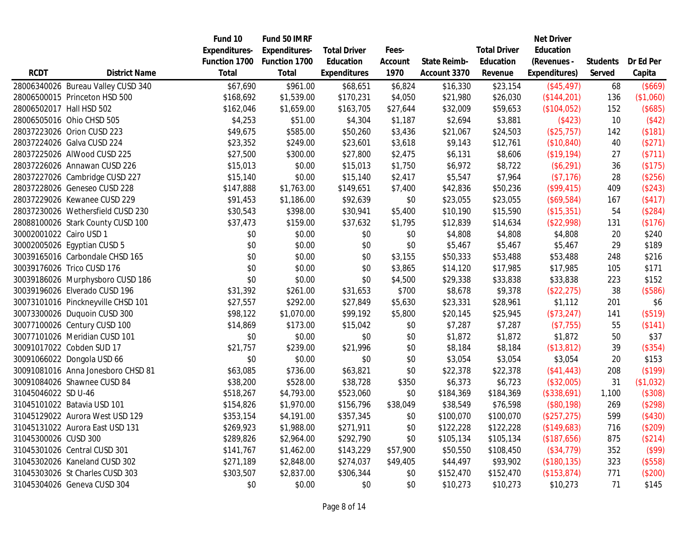|                          |                                    | Fund 10       | Fund 50 IMRF         |                     |          |                     |                     | <b>Net Driver</b> |                 |           |
|--------------------------|------------------------------------|---------------|----------------------|---------------------|----------|---------------------|---------------------|-------------------|-----------------|-----------|
|                          |                                    | Expenditures- | <b>Expenditures-</b> | <b>Total Driver</b> | Fees-    |                     | <b>Total Driver</b> | Education         |                 |           |
|                          |                                    | Function 1700 | Function 1700        | Education           | Account  | <b>State Reimb-</b> | Education           | (Revenues -       | <b>Students</b> | Dr Ed Per |
| <b>RCDT</b>              | <b>District Name</b>               | Total         | Total                | <b>Expenditures</b> | 1970     | Account 3370        | Revenue             | Expenditures)     | Served          | Capita    |
|                          | 28006340026 Bureau Valley CUSD 340 | \$67,690      | \$961.00             | \$68,651            | \$6,824  | \$16,330            | \$23,154            | (\$45,497)        | 68              | (\$669)   |
|                          | 28006500015 Princeton HSD 500      | \$168,692     | \$1,539.00           | \$170,231           | \$4,050  | \$21,980            | \$26,030            | (\$144,201)       | 136             | (\$1,060) |
| 28006502017 Hall HSD 502 |                                    | \$162,046     | \$1,659.00           | \$163,705           | \$27,644 | \$32,009            | \$59,653            | (\$104,052)       | 152             | (\$685)   |
|                          | 28006505016 Ohio CHSD 505          | \$4,253       | \$51.00              | \$4,304             | \$1,187  | \$2,694             | \$3,881             | (\$423)           | 10              | (\$42)    |
|                          | 28037223026 Orion CUSD 223         | \$49,675      | \$585.00             | \$50,260            | \$3,436  | \$21,067            | \$24,503            | (\$25,757)        | 142             | (\$181)   |
|                          | 28037224026 Galva CUSD 224         | \$23,352      | \$249.00             | \$23,601            | \$3,618  | \$9,143             | \$12,761            | (\$10,840)        | 40              | (\$271)   |
|                          | 28037225026 AIWood CUSD 225        | \$27,500      | \$300.00             | \$27,800            | \$2,475  | \$6,131             | \$8,606             | (\$19,194)        | 27              | (\$711)   |
|                          | 28037226026 Annawan CUSD 226       | \$15,013      | \$0.00               | \$15,013            | \$1,750  | \$6,972             | \$8,722             | (\$6,291)         | 36              | (\$175)   |
|                          | 28037227026 Cambridge CUSD 227     | \$15,140      | \$0.00               | \$15,140            | \$2,417  | \$5,547             | \$7,964             | (\$7,176)         | 28              | (\$256)   |
|                          | 28037228026 Geneseo CUSD 228       | \$147,888     | \$1,763.00           | \$149,651           | \$7,400  | \$42,836            | \$50,236            | (\$99,415)        | 409             | (\$243)   |
|                          | 28037229026 Kewanee CUSD 229       | \$91,453      | \$1,186.00           | \$92,639            | \$0      | \$23,055            | \$23,055            | (\$69,584)        | 167             | (\$417)   |
|                          | 28037230026 Wethersfield CUSD 230  | \$30,543      | \$398.00             | \$30,941            | \$5,400  | \$10,190            | \$15,590            | (\$15,351)        | 54              | (\$284)   |
|                          | 28088100026 Stark County CUSD 100  | \$37,473      | \$159.00             | \$37,632            | \$1,795  | \$12,839            | \$14,634            | (\$22,998)        | 131             | (\$176)   |
| 30002001022 Cairo USD 1  |                                    | \$0           | \$0.00               | \$0                 | \$0      | \$4,808             | \$4,808             | \$4,808           | 20              | \$240     |
|                          | 30002005026 Egyptian CUSD 5        | \$0           | \$0.00               | \$0                 | \$0      | \$5,467             | \$5,467             | \$5,467           | 29              | \$189     |
|                          | 30039165016 Carbondale CHSD 165    | \$0           | \$0.00               | \$0                 | \$3,155  | \$50,333            | \$53,488            | \$53,488          | 248             | \$216     |
|                          | 30039176026 Trico CUSD 176         | \$0           | \$0.00               | \$0                 | \$3,865  | \$14,120            | \$17,985            | \$17,985          | 105             | \$171     |
|                          | 30039186026 Murphysboro CUSD 186   | \$0           | \$0.00               | \$0                 | \$4,500  | \$29,338            | \$33,838            | \$33,838          | 223             | \$152     |
|                          | 30039196026 Elverado CUSD 196      | \$31,392      | \$261.00             | \$31,653            | \$700    | \$8,678             | \$9,378             | (\$22, 275)       | 38              | (\$586)   |
|                          | 30073101016 Pinckneyville CHSD 101 | \$27,557      | \$292.00             | \$27,849            | \$5,630  | \$23,331            | \$28,961            | \$1,112           | 201             | \$6       |
|                          | 30073300026 Duquoin CUSD 300       | \$98,122      | \$1,070.00           | \$99,192            | \$5,800  | \$20,145            | \$25,945            | (\$73,247)        | 141             | (\$519)   |
|                          | 30077100026 Century CUSD 100       | \$14,869      | \$173.00             | \$15,042            | \$0      | \$7,287             | \$7,287             | (\$7,755)         | 55              | (\$141)   |
|                          | 30077101026 Meridian CUSD 101      | \$0           | \$0.00               | \$0                 | \$0      | \$1,872             | \$1,872             | \$1,872           | 50              | \$37      |
|                          | 30091017022 Cobden SUD 17          | \$21,757      | \$239.00             | \$21,996            | \$0      | \$8,184             | \$8,184             | (\$13,812)        | 39              | (\$354)   |
|                          | 30091066022 Dongola USD 66         | \$0           | \$0.00               | \$0                 | \$0      | \$3,054             | \$3,054             | \$3,054           | 20              | \$153     |
|                          | 30091081016 Anna Jonesboro CHSD 81 | \$63,085      | \$736.00             | \$63,821            | \$0      | \$22,378            | \$22,378            | (\$41,443)        | 208             | (\$199)   |
|                          | 30091084026 Shawnee CUSD 84        | \$38,200      | \$528.00             | \$38,728            | \$350    | \$6,373             | \$6,723             | (\$32,005)        | 31              | (\$1,032) |
| 31045046022 SD U-46      |                                    | \$518,267     | \$4,793.00           | \$523,060           | \$0      | \$184,369           | \$184,369           | (\$338,691)       | 1,100           | (\$308)   |
|                          | 31045101022 Batavia USD 101        | \$154,826     | \$1,970.00           | \$156,796           | \$38,049 | \$38,549            | \$76,598            | (\$80,198)        | 269             | (\$298)   |
|                          | 31045129022 Aurora West USD 129    | \$353,154     | \$4,191.00           | \$357,345           | \$0      | \$100,070           | \$100,070           | (\$257, 275)      | 599             | (\$430)   |
|                          | 31045131022 Aurora East USD 131    | \$269,923     | \$1,988.00           | \$271,911           | \$0      | \$122,228           | \$122,228           | (\$149,683)       | 716             | (\$209)   |
| 31045300026 CUSD 300     |                                    | \$289,826     | \$2,964.00           | \$292,790           | \$0      | \$105,134           | \$105,134           | (\$187,656)       | 875             | (\$214)   |
|                          | 31045301026 Central CUSD 301       | \$141,767     | \$1,462.00           | \$143,229           | \$57,900 | \$50,550            | \$108,450           | (\$34,779)        | 352             | (\$99)    |
|                          | 31045302026 Kaneland CUSD 302      | \$271,189     | \$2,848.00           | \$274,037           | \$49,405 | \$44,497            | \$93,902            | (\$180, 135)      | 323             | (\$558)   |
|                          | 31045303026 St Charles CUSD 303    | \$303,507     | \$2,837.00           | \$306,344           | \$0      | \$152,470           | \$152,470           | (\$153,874)       | 771             | (\$200)   |
|                          | 31045304026 Geneva CUSD 304        | \$0           | \$0.00               | \$0                 | \$0      | \$10,273            | \$10,273            | \$10,273          | 71              | \$145     |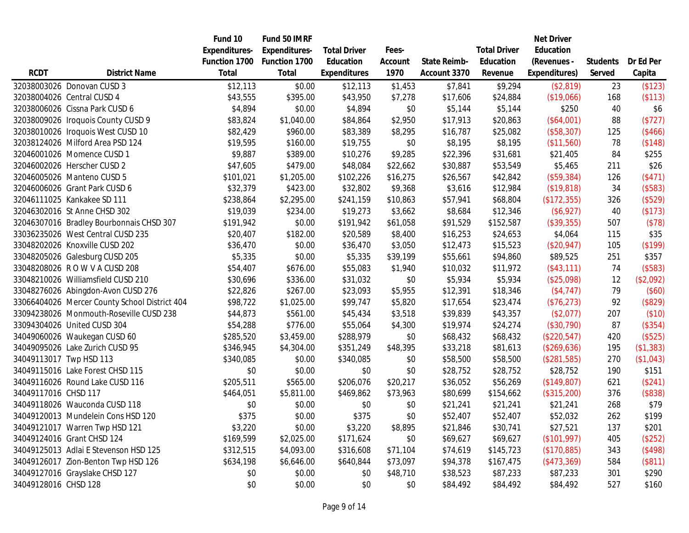|                      |                                               | Fund 10       | Fund 50 IMRF         |                     |          |                     |                     | <b>Net Driver</b> |                 |           |
|----------------------|-----------------------------------------------|---------------|----------------------|---------------------|----------|---------------------|---------------------|-------------------|-----------------|-----------|
|                      |                                               | Expenditures- | <b>Expenditures-</b> | <b>Total Driver</b> | Fees-    |                     | <b>Total Driver</b> | Education         |                 |           |
|                      |                                               | Function 1700 | Function 1700        | Education           | Account  | <b>State Reimb-</b> | Education           | (Revenues -       | <b>Students</b> | Dr Ed Per |
| <b>RCDT</b>          | <b>District Name</b>                          | Total         | Total                | <b>Expenditures</b> | 1970     | Account 3370        | Revenue             | Expenditures)     | Served          | Capita    |
|                      | 32038003026 Donovan CUSD 3                    | \$12,113      | \$0.00               | \$12,113            | \$1,453  | \$7,841             | \$9,294             | (\$2,819)         | 23              | (\$123)   |
|                      | 32038004026 Central CUSD 4                    | \$43,555      | \$395.00             | \$43,950            | \$7,278  | \$17,606            | \$24,884            | (\$19,066)        | 168             | (\$113)   |
|                      | 32038006026 Cissna Park CUSD 6                | \$4,894       | \$0.00               | \$4,894             | \$0      | \$5,144             | \$5,144             | \$250             | 40              | \$6       |
|                      | 32038009026 Iroquois County CUSD 9            | \$83,824      | \$1,040.00           | \$84,864            | \$2,950  | \$17,913            | \$20,863            | (\$64,001)        | 88              | (\$727)   |
|                      | 32038010026 Iroquois West CUSD 10             | \$82,429      | \$960.00             | \$83,389            | \$8,295  | \$16,787            | \$25,082            | (\$58,307)        | 125             | (\$466)   |
|                      | 32038124026 Milford Area PSD 124              | \$19,595      | \$160.00             | \$19,755            | \$0      | \$8,195             | \$8,195             | (\$11,560)        | 78              | (\$148)   |
|                      | 32046001026 Momence CUSD 1                    | \$9,887       | \$389.00             | \$10,276            | \$9,285  | \$22,396            | \$31,681            | \$21,405          | 84              | \$255     |
|                      | 32046002026 Herscher CUSD 2                   | \$47,605      | \$479.00             | \$48,084            | \$22,662 | \$30,887            | \$53,549            | \$5,465           | 211             | \$26      |
|                      | 32046005026 Manteno CUSD 5                    | \$101,021     | \$1,205.00           | \$102,226           | \$16,275 | \$26,567            | \$42,842            | (\$59,384)        | 126             | (\$471)   |
|                      | 32046006026 Grant Park CUSD 6                 | \$32,379      | \$423.00             | \$32,802            | \$9,368  | \$3,616             | \$12,984            | (\$19,818)        | 34              | (\$583)   |
|                      | 32046111025 Kankakee SD 111                   | \$238,864     | \$2,295.00           | \$241,159           | \$10,863 | \$57,941            | \$68,804            | (\$172,355)       | 326             | (\$529)   |
|                      | 32046302016 St Anne CHSD 302                  | \$19,039      | \$234.00             | \$19,273            | \$3,662  | \$8,684             | \$12,346            | (\$6,927)         | 40              | (\$173)   |
|                      | 32046307016 Bradley Bourbonnais CHSD 307      | \$191,942     | \$0.00               | \$191,942           | \$61,058 | \$91,529            | \$152,587           | (\$39,355)        | 507             | (\$78)    |
|                      | 33036235026 West Central CUSD 235             | \$20,407      | \$182.00             | \$20,589            | \$8,400  | \$16,253            | \$24,653            | \$4,064           | 115             | \$35      |
|                      | 33048202026 Knoxville CUSD 202                | \$36,470      | \$0.00               | \$36,470            | \$3,050  | \$12,473            | \$15,523            | (\$20,947)        | 105             | (\$199)   |
|                      | 33048205026 Galesburg CUSD 205                | \$5,335       | \$0.00               | \$5,335             | \$39,199 | \$55,661            | \$94,860            | \$89,525          | 251             | \$357     |
|                      | 33048208026 ROWVACUSD 208                     | \$54,407      | \$676.00             | \$55,083            | \$1,940  | \$10,032            | \$11,972            | (\$43,111)        | 74              | (\$583)   |
|                      | 33048210026 Williamsfield CUSD 210            | \$30,696      | \$336.00             | \$31,032            | \$0      | \$5,934             | \$5,934             | (\$25,098)        | 12              | (\$2,092) |
|                      | 33048276026 Abingdon-Avon CUSD 276            | \$22,826      | \$267.00             | \$23,093            | \$5,955  | \$12,391            | \$18,346            | (\$4,747)         | 79              | (\$60)    |
|                      | 33066404026 Mercer County School District 404 | \$98,722      | \$1,025.00           | \$99,747            | \$5,820  | \$17,654            | \$23,474            | (\$76,273)        | 92              | (\$829)   |
|                      | 33094238026 Monmouth-Roseville CUSD 238       | \$44,873      | \$561.00             | \$45,434            | \$3,518  | \$39,839            | \$43,357            | (\$2,077)         | 207             | (\$10)    |
|                      | 33094304026 United CUSD 304                   | \$54,288      | \$776.00             | \$55,064            | \$4,300  | \$19,974            | \$24,274            | (\$30,790)        | 87              | (\$354)   |
|                      | 34049060026 Waukegan CUSD 60                  | \$285,520     | \$3,459.00           | \$288,979           | \$0      | \$68,432            | \$68,432            | (\$220,547)       | 420             | (\$525)   |
|                      | 34049095026 Lake Zurich CUSD 95               | \$346,945     | \$4,304.00           | \$351,249           | \$48,395 | \$33,218            | \$81,613            | (\$269,636)       | 195             | (\$1,383) |
|                      | 34049113017 Twp HSD 113                       | \$340,085     | \$0.00               | \$340,085           | \$0      | \$58,500            | \$58,500            | (\$281,585)       | 270             | (\$1,043) |
|                      | 34049115016 Lake Forest CHSD 115              | \$0           | \$0.00               | \$0                 | \$0      | \$28,752            | \$28,752            | \$28,752          | 190             | \$151     |
|                      | 34049116026 Round Lake CUSD 116               | \$205,511     | \$565.00             | \$206,076           | \$20,217 | \$36,052            | \$56,269            | (\$149,807)       | 621             | (\$241)   |
| 34049117016 CHSD 117 |                                               | \$464,051     | \$5,811.00           | \$469,862           | \$73,963 | \$80,699            | \$154,662           | (\$315,200)       | 376             | (\$838)   |
|                      | 34049118026 Wauconda CUSD 118                 | \$0           | \$0.00               | \$0                 | \$0      | \$21,241            | \$21,241            | \$21,241          | 268             | \$79      |
|                      | 34049120013 Mundelein Cons HSD 120            | \$375         | \$0.00               | \$375               | \$0      | \$52,407            | \$52,407            | \$52,032          | 262             | \$199     |
|                      | 34049121017 Warren Twp HSD 121                | \$3,220       | \$0.00               | \$3,220             | \$8,895  | \$21,846            | \$30,741            | \$27,521          | 137             | \$201     |
|                      | 34049124016 Grant CHSD 124                    | \$169,599     | \$2,025.00           | \$171,624           | \$0      | \$69,627            | \$69,627            | (\$101,997)       | 405             | (\$252)   |
|                      | 34049125013 Adlai E Stevenson HSD 125         | \$312,515     | \$4,093.00           | \$316,608           | \$71,104 | \$74,619            | \$145,723           | (\$170,885)       | 343             | (\$498)   |
|                      | 34049126017 Zion-Benton Twp HSD 126           | \$634,198     | \$6,646.00           | \$640,844           | \$73,097 | \$94,378            | \$167,475           | (\$473,369)       | 584             | (\$811)   |
|                      | 34049127016 Grayslake CHSD 127                | \$0           | \$0.00               | \$0                 | \$48,710 | \$38,523            | \$87,233            | \$87,233          | 301             | \$290     |
| 34049128016 CHSD 128 |                                               | \$0           | \$0.00               | \$0                 | \$0      | \$84,492            | \$84,492            | \$84,492          | 527             | \$160     |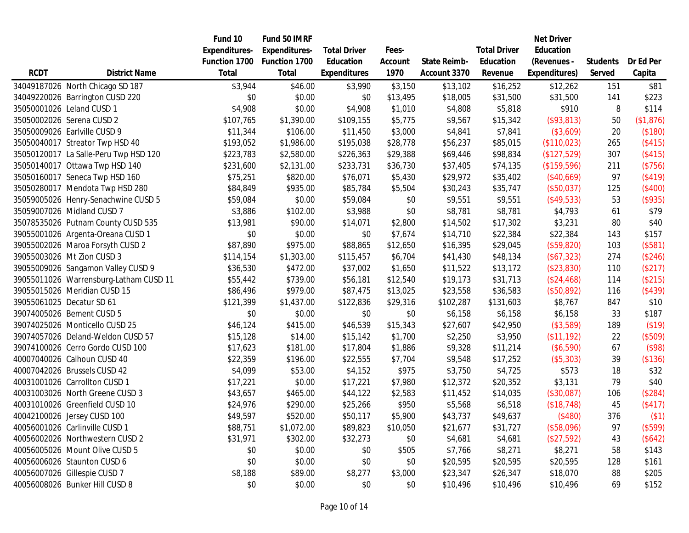|             |                                        | Fund 10              | Fund 50 IMRF  |                     |          |              |                     | <b>Net Driver</b> |                 |           |
|-------------|----------------------------------------|----------------------|---------------|---------------------|----------|--------------|---------------------|-------------------|-----------------|-----------|
|             |                                        | <b>Expenditures-</b> | Expenditures- | <b>Total Driver</b> | Fees-    |              | <b>Total Driver</b> | Education         |                 |           |
|             |                                        | Function 1700        | Function 1700 | Education           | Account  | State Reimb- | Education           | (Revenues -       | <b>Students</b> | Dr Ed Per |
| <b>RCDT</b> | <b>District Name</b>                   | Total                | <b>Total</b>  | <b>Expenditures</b> | 1970     | Account 3370 | Revenue             | Expenditures)     | Served          | Capita    |
|             | 34049187026 North Chicago SD 187       | \$3,944              | \$46.00       | \$3,990             | \$3,150  | \$13,102     | \$16,252            | \$12,262          | 151             | \$81      |
|             | 34049220026 Barrington CUSD 220        | \$0                  | \$0.00        | \$0                 | \$13,495 | \$18,005     | \$31,500            | \$31,500          | 141             | \$223     |
|             | 35050001026 Leland CUSD 1              | \$4,908              | \$0.00        | \$4,908             | \$1,010  | \$4,808      | \$5,818             | \$910             | 8               | \$114     |
|             | 35050002026 Serena CUSD 2              | \$107,765            | \$1,390.00    | \$109,155           | \$5,775  | \$9,567      | \$15,342            | (\$93,813)        | 50              | (\$1,876) |
|             | 35050009026 Earlville CUSD 9           | \$11,344             | \$106.00      | \$11,450            | \$3,000  | \$4,841      | \$7,841             | (\$3,609)         | 20              | (\$180)   |
|             | 35050040017 Streator Twp HSD 40        | \$193,052            | \$1,986.00    | \$195,038           | \$28,778 | \$56,237     | \$85,015            | (\$110,023)       | 265             | (\$415)   |
|             | 35050120017 La Salle-Peru Twp HSD 120  | \$223,783            | \$2,580.00    | \$226,363           | \$29,388 | \$69,446     | \$98,834            | (\$127,529)       | 307             | (\$415)   |
|             | 35050140017 Ottawa Twp HSD 140         | \$231,600            | \$2,131.00    | \$233,731           | \$36,730 | \$37,405     | \$74,135            | (\$159,596)       | 211             | (\$756)   |
|             | 35050160017 Seneca Twp HSD 160         | \$75,251             | \$820.00      | \$76,071            | \$5,430  | \$29,972     | \$35,402            | (\$40,669)        | 97              | (\$419)   |
|             | 35050280017 Mendota Twp HSD 280        | \$84,849             | \$935.00      | \$85,784            | \$5,504  | \$30,243     | \$35,747            | (\$50,037)        | 125             | (\$400)   |
|             | 35059005026 Henry-Senachwine CUSD 5    | \$59,084             | \$0.00        | \$59,084            | \$0      | \$9,551      | \$9,551             | (\$49,533)        | 53              | (\$935)   |
|             | 35059007026 Midland CUSD 7             | \$3,886              | \$102.00      | \$3,988             | \$0      | \$8,781      | \$8,781             | \$4,793           | 61              | \$79      |
|             | 35078535026 Putnam County CUSD 535     | \$13,981             | \$90.00       | \$14,071            | \$2,800  | \$14,502     | \$17,302            | \$3,231           | 80              | \$40      |
|             | 39055001026 Argenta-Oreana CUSD 1      | \$0                  | \$0.00        | \$0                 | \$7,674  | \$14,710     | \$22,384            | \$22,384          | 143             | \$157     |
|             | 39055002026 Maroa Forsyth CUSD 2       | \$87,890             | \$975.00      | \$88,865            | \$12,650 | \$16,395     | \$29,045            | (\$59,820)        | 103             | (\$581)   |
|             | 39055003026 Mt Zion CUSD 3             | \$114,154            | \$1,303.00    | \$115,457           | \$6,704  | \$41,430     | \$48,134            | (\$67,323)        | 274             | (\$246)   |
|             | 39055009026 Sangamon Valley CUSD 9     | \$36,530             | \$472.00      | \$37,002            | \$1,650  | \$11,522     | \$13,172            | (\$23,830)        | 110             | (\$217)   |
|             | 39055011026 Warrensburg-Latham CUSD 11 | \$55,442             | \$739.00      | \$56,181            | \$12,540 | \$19,173     | \$31,713            | (\$24,468)        | 114             | (\$215)   |
|             | 39055015026 Meridian CUSD 15           | \$86,496             | \$979.00      | \$87,475            | \$13,025 | \$23,558     | \$36,583            | (\$50,892)        | 116             | (\$439)   |
|             | 39055061025 Decatur SD 61              | \$121,399            | \$1,437.00    | \$122,836           | \$29,316 | \$102,287    | \$131,603           | \$8,767           | 847             | \$10      |
|             | 39074005026 Bement CUSD 5              | \$0                  | \$0.00        | \$0                 | \$0      | \$6,158      | \$6,158             | \$6,158           | 33              | \$187     |
|             | 39074025026 Monticello CUSD 25         | \$46,124             | \$415.00      | \$46,539            | \$15,343 | \$27,607     | \$42,950            | ( \$3,589)        | 189             | (\$19)    |
|             | 39074057026 Deland-Weldon CUSD 57      | \$15,128             | \$14.00       | \$15,142            | \$1,700  | \$2,250      | \$3,950             | (\$11,192)        | 22              | (\$509)   |
|             | 39074100026 Cerro Gordo CUSD 100       | \$17,623             | \$181.00      | \$17,804            | \$1,886  | \$9,328      | \$11,214            | (\$6,590)         | 67              | (\$98)    |
|             | 40007040026 Calhoun CUSD 40            | \$22,359             | \$196.00      | \$22,555            | \$7,704  | \$9,548      | \$17,252            | (\$5,303)         | 39              | (\$136)   |
|             | 40007042026 Brussels CUSD 42           | \$4,099              | \$53.00       | \$4,152             | \$975    | \$3,750      | \$4,725             | \$573             | 18              | \$32      |
|             | 40031001026 Carrollton CUSD 1          | \$17,221             | \$0.00        | \$17,221            | \$7,980  | \$12,372     | \$20,352            | \$3,131           | 79              | \$40      |
|             | 40031003026 North Greene CUSD 3        | \$43,657             | \$465.00      | \$44,122            | \$2,583  | \$11,452     | \$14,035            | (\$30,087)        | 106             | (\$284)   |
|             | 40031010026 Greenfield CUSD 10         | \$24,976             | \$290.00      | \$25,266            | \$950    | \$5,568      | \$6,518             | (\$18,748)        | 45              | (\$417)   |
|             | 40042100026 Jersey CUSD 100            | \$49,597             | \$520.00      | \$50,117            | \$5,900  | \$43,737     | \$49,637            | (\$480)           | 376             | $($ \$1)  |
|             | 40056001026 Carlinville CUSD 1         | \$88,751             | \$1,072.00    | \$89,823            | \$10,050 | \$21,677     | \$31,727            | (\$58,096)        | 97              | (\$599)   |
|             | 40056002026 Northwestern CUSD 2        | \$31,971             | \$302.00      | \$32,273            | \$0      | \$4,681      | \$4,681             | (\$27,592)        | 43              | (\$642)   |
|             | 40056005026 Mount Olive CUSD 5         | \$0                  | \$0.00        | \$0                 | \$505    | \$7,766      | \$8,271             | \$8,271           | 58              | \$143     |
|             | 40056006026 Staunton CUSD 6            | \$0                  | \$0.00        | \$0                 | \$0      | \$20,595     | \$20,595            | \$20,595          | 128             | \$161     |
|             | 40056007026 Gillespie CUSD 7           | \$8,188              | \$89.00       | \$8,277             | \$3,000  | \$23,347     | \$26,347            | \$18,070          | 88              | \$205     |
|             | 40056008026 Bunker Hill CUSD 8         | \$0                  | \$0.00        | \$0                 | \$0      | \$10,496     | \$10,496            | \$10,496          | 69              | \$152     |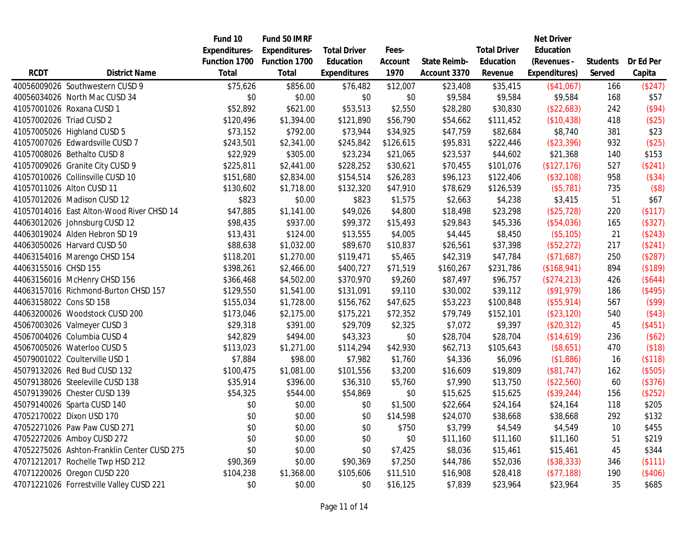|                         |                                             | Fund 10              | Fund 50 IMRF         |                     |           |                     |                     | <b>Net Driver</b> |                 |           |
|-------------------------|---------------------------------------------|----------------------|----------------------|---------------------|-----------|---------------------|---------------------|-------------------|-----------------|-----------|
|                         |                                             | <b>Expenditures-</b> | <b>Expenditures-</b> | <b>Total Driver</b> | Fees-     |                     | <b>Total Driver</b> | Education         |                 |           |
|                         |                                             | Function 1700        | Function 1700        | Education           | Account   | <b>State Reimb-</b> | Education           | (Revenues -       | <b>Students</b> | Dr Ed Per |
| <b>RCDT</b>             | <b>District Name</b>                        | <b>Total</b>         | Total                | <b>Expenditures</b> | 1970      | Account 3370        | Revenue             | Expenditures)     | Served          | Capita    |
|                         | 40056009026 Southwestern CUSD 9             | \$75,626             | \$856.00             | \$76,482            | \$12,007  | \$23,408            | \$35,415            | (\$41,067)        | 166             | (\$247)   |
|                         | 40056034026 North Mac CUSD 34               | \$0                  | \$0.00               | \$0                 | \$0       | \$9,584             | \$9,584             | \$9,584           | 168             | \$57      |
|                         | 41057001026 Roxana CUSD 1                   | \$52,892             | \$621.00             | \$53,513            | \$2,550   | \$28,280            | \$30,830            | (\$22,683)        | 242             | (\$94)    |
|                         | 41057002026 Triad CUSD 2                    | \$120,496            | \$1,394.00           | \$121,890           | \$56,790  | \$54,662            | \$111,452           | (\$10,438)        | 418             | (\$25)    |
|                         | 41057005026 Highland CUSD 5                 | \$73,152             | \$792.00             | \$73,944            | \$34,925  | \$47,759            | \$82,684            | \$8,740           | 381             | \$23      |
|                         | 41057007026 Edwardsville CUSD 7             | \$243,501            | \$2,341.00           | \$245,842           | \$126,615 | \$95,831            | \$222,446           | (\$23,396)        | 932             | (\$25)    |
|                         | 41057008026 Bethalto CUSD 8                 | \$22,929             | \$305.00             | \$23,234            | \$21,065  | \$23,537            | \$44,602            | \$21,368          | 140             | \$153     |
|                         | 41057009026 Granite City CUSD 9             | \$225,811            | \$2,441.00           | \$228,252           | \$30,621  | \$70,455            | \$101,076           | (\$127, 176)      | 527             | (\$241)   |
|                         | 41057010026 Collinsville CUSD 10            | \$151,680            | \$2,834.00           | \$154,514           | \$26,283  | \$96,123            | \$122,406           | (\$32,108)        | 958             | (\$34)    |
|                         | 41057011026 Alton CUSD 11                   | \$130,602            | \$1,718.00           | \$132,320           | \$47,910  | \$78,629            | \$126,539           | (\$5,781)         | 735             | (\$8)     |
|                         | 41057012026 Madison CUSD 12                 | \$823                | \$0.00               | \$823               | \$1,575   | \$2,663             | \$4,238             | \$3,415           | 51              | \$67      |
|                         | 41057014016 East Alton-Wood River CHSD 14   | \$47,885             | \$1,141.00           | \$49,026            | \$4,800   | \$18,498            | \$23,298            | (\$25,728)        | 220             | (\$117)   |
|                         | 44063012026 Johnsburg CUSD 12               | \$98,435             | \$937.00             | \$99,372            | \$15,493  | \$29,843            | \$45,336            | (\$54,036)        | 165             | (\$327)   |
|                         | 44063019024 Alden Hebron SD 19              | \$13,431             | \$124.00             | \$13,555            | \$4,005   | \$4,445             | \$8,450             | (\$5,105)         | 21              | (\$243)   |
|                         | 44063050026 Harvard CUSD 50                 | \$88,638             | \$1,032.00           | \$89,670            | \$10,837  | \$26,561            | \$37,398            | (\$52,272)        | 217             | (\$241)   |
|                         | 44063154016 Marengo CHSD 154                | \$118,201            | \$1,270.00           | \$119,471           | \$5,465   | \$42,319            | \$47,784            | (\$71,687)        | 250             | (\$287)   |
| 44063155016 CHSD 155    |                                             | \$398,261            | \$2,466.00           | \$400,727           | \$71,519  | \$160,267           | \$231,786           | (\$168,941)       | 894             | (\$189)   |
|                         | 44063156016 McHenry CHSD 156                | \$366,468            | \$4,502.00           | \$370,970           | \$9,260   | \$87,497            | \$96,757            | (\$274,213)       | 426             | (\$644)   |
|                         | 44063157016 Richmond-Burton CHSD 157        | \$129,550            | \$1,541.00           | \$131,091           | \$9,110   | \$30,002            | \$39,112            | (\$91,979)        | 186             | (\$495)   |
| 44063158022 Cons SD 158 |                                             | \$155,034            | \$1,728.00           | \$156,762           | \$47,625  | \$53,223            | \$100,848           | (\$55,914)        | 567             | (\$99)    |
|                         | 44063200026 Woodstock CUSD 200              | \$173,046            | \$2,175.00           | \$175,221           | \$72,352  | \$79,749            | \$152,101           | (\$23,120)        | 540             | (\$43)    |
|                         | 45067003026 Valmeyer CUSD 3                 | \$29,318             | \$391.00             | \$29,709            | \$2,325   | \$7,072             | \$9,397             | (\$20,312)        | 45              | (\$451)   |
|                         | 45067004026 Columbia CUSD 4                 | \$42,829             | \$494.00             | \$43,323            | \$0       | \$28,704            | \$28,704            | (\$14,619)        | 236             | (\$62)    |
|                         | 45067005026 Waterloo CUSD 5                 | \$113,023            | \$1,271.00           | \$114,294           | \$42,930  | \$62,713            | \$105,643           | (\$8,651)         | 470             | (\$18)    |
|                         | 45079001022 Coulterville USD 1              | \$7,884              | \$98.00              | \$7,982             | \$1,760   | \$4,336             | \$6,096             | (\$1,886)         | 16              | (\$118)   |
|                         | 45079132026 Red Bud CUSD 132                | \$100,475            | \$1,081.00           | \$101,556           | \$3,200   | \$16,609            | \$19,809            | (\$81,747)        | 162             | (\$505)   |
|                         | 45079138026 Steeleville CUSD 138            | \$35,914             | \$396.00             | \$36,310            | \$5,760   | \$7,990             | \$13,750            | (\$22,560)        | 60              | (\$376)   |
|                         | 45079139026 Chester CUSD 139                | \$54,325             | \$544.00             | \$54,869            | \$0       | \$15,625            | \$15,625            | (\$39,244)        | 156             | (\$252)   |
|                         | 45079140026 Sparta CUSD 140                 | \$0                  | \$0.00               | \$0                 | \$1,500   | \$22,664            | \$24,164            | \$24,164          | 118             | \$205     |
|                         | 47052170022 Dixon USD 170                   | \$0                  | \$0.00               | \$0                 | \$14,598  | \$24,070            | \$38,668            | \$38,668          | 292             | \$132     |
|                         | 47052271026 Paw Paw CUSD 271                | \$0                  | \$0.00               | \$0                 | \$750     | \$3,799             | \$4,549             | \$4,549           | 10              | \$455     |
|                         | 47052272026 Amboy CUSD 272                  | \$0                  | \$0.00               | \$0                 | \$0       | \$11,160            | \$11,160            | \$11,160          | 51              | \$219     |
|                         | 47052275026 Ashton-Franklin Center CUSD 275 | \$0                  | \$0.00               | \$0                 | \$7,425   | \$8,036             | \$15,461            | \$15,461          | 45              | \$344     |
|                         | 47071212017 Rochelle Twp HSD 212            | \$90,369             | \$0.00               | \$90,369            | \$7,250   | \$44,786            | \$52,036            | (\$38,333)        | 346             | (\$111)   |
|                         | 47071220026 Oregon CUSD 220                 | \$104,238            | \$1,368.00           | \$105,606           | \$11,510  | \$16,908            | \$28,418            | (\$77,188)        | 190             | (\$406)   |
|                         | 47071221026 Forrestville Valley CUSD 221    | \$0                  | \$0.00               | \$0                 | \$16,125  | \$7,839             | \$23,964            | \$23,964          | 35              | \$685     |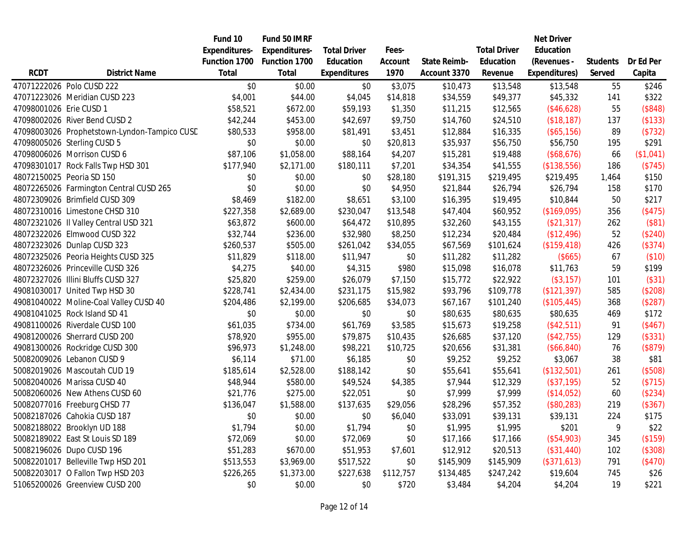|                         |                                              | Fund 10              | Fund 50 IMRF         |                     |           |              |                     | <b>Net Driver</b> |                 |           |
|-------------------------|----------------------------------------------|----------------------|----------------------|---------------------|-----------|--------------|---------------------|-------------------|-----------------|-----------|
|                         |                                              | <b>Expenditures-</b> | <b>Expenditures-</b> | <b>Total Driver</b> | Fees-     |              | <b>Total Driver</b> | Education         |                 |           |
|                         |                                              | Function 1700        | Function 1700        | Education           | Account   | State Reimb- | Education           | (Revenues -       | <b>Students</b> | Dr Ed Per |
| <b>RCDT</b>             | <b>District Name</b>                         | <b>Total</b>         | Total                | <b>Expenditures</b> | 1970      | Account 3370 | Revenue             | Expenditures)     | Served          | Capita    |
|                         | 47071222026 Polo CUSD 222                    | \$0                  | \$0.00               | \$0                 | \$3,075   | \$10,473     | \$13,548            | \$13,548          | 55              | \$246     |
|                         | 47071223026 Meridian CUSD 223                | \$4,001              | \$44.00              | \$4,045             | \$14,818  | \$34,559     | \$49,377            | \$45,332          | 141             | \$322     |
| 47098001026 Erie CUSD 1 |                                              | \$58,521             | \$672.00             | \$59,193            | \$1,350   | \$11,215     | \$12,565            | (\$46,628)        | 55              | (\$848)   |
|                         | 47098002026 River Bend CUSD 2                | \$42,244             | \$453.00             | \$42,697            | \$9,750   | \$14,760     | \$24,510            | ( \$18, 187)      | 137             | (\$133)   |
|                         | 47098003026 Prophetstown-Lyndon-Tampico CUSD | \$80,533             | \$958.00             | \$81,491            | \$3,451   | \$12,884     | \$16,335            | (\$65,156)        | 89              | (\$732)   |
|                         | 47098005026 Sterling CUSD 5                  | \$0                  | \$0.00               | \$0                 | \$20,813  | \$35,937     | \$56,750            | \$56,750          | 195             | \$291     |
|                         | 47098006026 Morrison CUSD 6                  | \$87,106             | \$1,058.00           | \$88,164            | \$4,207   | \$15,281     | \$19,488            | (\$68,676)        | 66              | (\$1,041) |
|                         | 47098301017 Rock Falls Twp HSD 301           | \$177,940            | \$2,171.00           | \$180,111           | \$7,201   | \$34,354     | \$41,555            | (\$138,556)       | 186             | (\$745)   |
|                         | 48072150025 Peoria SD 150                    | \$0                  | \$0.00               | \$0                 | \$28,180  | \$191,315    | \$219,495           | \$219,495         | 1,464           | \$150     |
|                         | 48072265026 Farmington Central CUSD 265      | \$0                  | \$0.00               | \$0                 | \$4,950   | \$21,844     | \$26,794            | \$26,794          | 158             | \$170     |
|                         | 48072309026 Brimfield CUSD 309               | \$8,469              | \$182.00             | \$8,651             | \$3,100   | \$16,395     | \$19,495            | \$10,844          | 50              | \$217     |
|                         | 48072310016 Limestone CHSD 310               | \$227,358            | \$2,689.00           | \$230,047           | \$13,548  | \$47,404     | \$60,952            | (\$169,095)       | 356             | (\$475)   |
|                         | 48072321026 Il Valley Central USD 321        | \$63,872             | \$600.00             | \$64,472            | \$10,895  | \$32,260     | \$43,155            | (\$21,317)        | 262             | (\$81)    |
|                         | 48072322026 Elmwood CUSD 322                 | \$32,744             | \$236.00             | \$32,980            | \$8,250   | \$12,234     | \$20,484            | (\$12,496)        | 52              | (\$240)   |
|                         | 48072323026 Dunlap CUSD 323                  | \$260,537            | \$505.00             | \$261,042           | \$34,055  | \$67,569     | \$101,624           | (\$159, 418)      | 426             | (\$374)   |
|                         | 48072325026 Peoria Heights CUSD 325          | \$11,829             | \$118.00             | \$11,947            | \$0       | \$11,282     | \$11,282            | (\$665)           | 67              | (\$10)    |
|                         | 48072326026 Princeville CUSD 326             | \$4,275              | \$40.00              | \$4,315             | \$980     | \$15,098     | \$16,078            | \$11,763          | 59              | \$199     |
|                         | 48072327026 Illini Bluffs CUSD 327           | \$25,820             | \$259.00             | \$26,079            | \$7,150   | \$15,772     | \$22,922            | $($ \$3,157)      | 101             | (\$31)    |
|                         | 49081030017 United Twp HSD 30                | \$228,741            | \$2,434.00           | \$231,175           | \$15,982  | \$93,796     | \$109,778           | (\$121,397)       | 585             | (\$208)   |
|                         | 49081040022 Moline-Coal Valley CUSD 40       | \$204,486            | \$2,199.00           | \$206,685           | \$34,073  | \$67,167     | \$101,240           | (\$105,445)       | 368             | (\$287)   |
|                         | 49081041025 Rock Island SD 41                | \$0                  | \$0.00               | \$0                 | \$0       | \$80,635     | \$80,635            | \$80,635          | 469             | \$172     |
|                         | 49081100026 Riverdale CUSD 100               | \$61,035             | \$734.00             | \$61,769            | \$3,585   | \$15,673     | \$19,258            | (\$42,511)        | 91              | (\$467)   |
|                         | 49081200026 Sherrard CUSD 200                | \$78,920             | \$955.00             | \$79,875            | \$10,435  | \$26,685     | \$37,120            | (\$42,755)        | 129             | (\$331)   |
|                         | 49081300026 Rockridge CUSD 300               | \$96,973             | \$1,248.00           | \$98,221            | \$10,725  | \$20,656     | \$31,381            | (\$66, 840)       | 76              | (\$879)   |
|                         | 50082009026 Lebanon CUSD 9                   | \$6,114              | \$71.00              | \$6,185             | \$0       | \$9,252      | \$9,252             | \$3,067           | 38              | \$81      |
|                         | 50082019026 Mascoutah CUD 19                 | \$185,614            | \$2,528.00           | \$188,142           | \$0       | \$55,641     | \$55,641            | (\$132,501)       | 261             | (\$508)   |
|                         | 50082040026 Marissa CUSD 40                  | \$48,944             | \$580.00             | \$49,524            | \$4,385   | \$7,944      | \$12,329            | (\$37,195)        | 52              | (\$715)   |
|                         | 50082060026 New Athens CUSD 60               | \$21,776             | \$275.00             | \$22,051            | \$0       | \$7,999      | \$7,999             | (\$14,052)        | 60              | (\$234)   |
|                         | 50082077016 Freeburg CHSD 77                 | \$136,047            | \$1,588.00           | \$137,635           | \$29,056  | \$28,296     | \$57,352            | (\$80,283)        | 219             | (\$367)   |
|                         | 50082187026 Cahokia CUSD 187                 | \$0                  | \$0.00               | \$0                 | \$6,040   | \$33,091     | \$39,131            | \$39,131          | 224             | \$175     |
|                         | 50082188022 Brooklyn UD 188                  | \$1,794              | \$0.00               | \$1,794             | \$0       | \$1,995      | \$1,995             | \$201             | 9               | \$22      |
|                         | 50082189022 East St Louis SD 189             | \$72,069             | \$0.00               | \$72,069            | \$0       | \$17,166     | \$17,166            | (\$54,903)        | 345             | (\$159)   |
|                         | 50082196026 Dupo CUSD 196                    | \$51,283             | \$670.00             | \$51,953            | \$7,601   | \$12,912     | \$20,513            | (\$31,440)        | 102             | (\$308)   |
|                         | 50082201017 Belleville Twp HSD 201           | \$513,553            | \$3,969.00           | \$517,522           | \$0       | \$145,909    | \$145,909           | (\$371,613)       | 791             | (\$470)   |
|                         | 50082203017 O Fallon Twp HSD 203             | \$226,265            | \$1,373.00           | \$227,638           | \$112,757 | \$134,485    | \$247,242           | \$19,604          | 745             | \$26      |
|                         | 51065200026 Greenview CUSD 200               | \$0                  | \$0.00               | \$0                 | \$720     | \$3,484      | \$4,204             | \$4,204           | 19              | \$221     |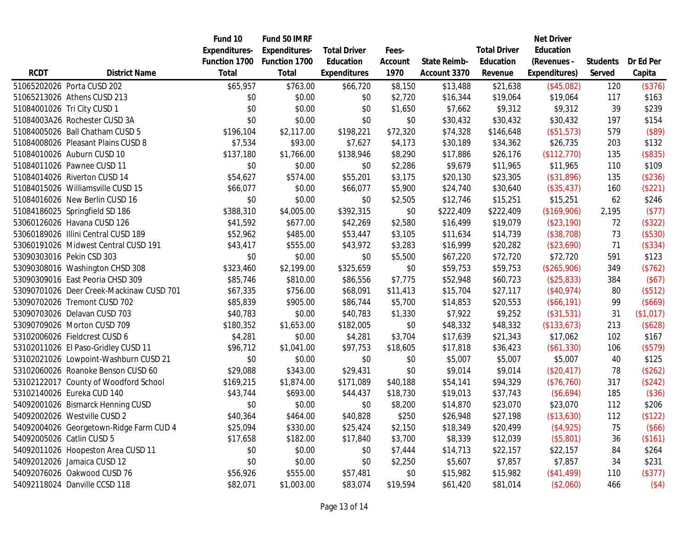|             |                                          | Fund 10       | Fund 50 IMRF         |                     |          |              |                     | <b>Net Driver</b> |                 |           |
|-------------|------------------------------------------|---------------|----------------------|---------------------|----------|--------------|---------------------|-------------------|-----------------|-----------|
|             |                                          | Expenditures- | <b>Expenditures-</b> | <b>Total Driver</b> | Fees-    |              | <b>Total Driver</b> | Education         |                 |           |
|             |                                          | Function 1700 | Function 1700        | Education           | Account  | State Reimb- | Education           | (Revenues -       | <b>Students</b> | Dr Ed Per |
| <b>RCDT</b> | <b>District Name</b>                     | Total         | Total                | Expenditures        | 1970     | Account 3370 | Revenue             | Expenditures)     | Served          | Capita    |
|             | 51065202026 Porta CUSD 202               | \$65,957      | \$763.00             | \$66,720            | \$8,150  | \$13,488     | \$21,638            | (\$45,082)        | 120             | (\$376)   |
|             | 51065213026 Athens CUSD 213              | \$0           | \$0.00               | \$0                 | \$2,720  | \$16,344     | \$19,064            | \$19,064          | 117             | \$163     |
|             | 51084001026 Tri City CUSD 1              | \$0           | \$0.00               | \$0                 | \$1,650  | \$7,662      | \$9,312             | \$9,312           | 39              | \$239     |
|             | 51084003A26 Rochester CUSD 3A            | \$0           | \$0.00               | \$0                 | \$0      | \$30,432     | \$30,432            | \$30,432          | 197             | \$154     |
|             | 51084005026 Ball Chatham CUSD 5          | \$196,104     | \$2,117.00           | \$198,221           | \$72,320 | \$74,328     | \$146,648           | (\$51,573)        | 579             | (\$89)    |
|             | 51084008026 Pleasant Plains CUSD 8       | \$7,534       | \$93.00              | \$7,627             | \$4,173  | \$30,189     | \$34,362            | \$26,735          | 203             | \$132     |
|             | 51084010026 Auburn CUSD 10               | \$137,180     | \$1,766.00           | \$138,946           | \$8,290  | \$17,886     | \$26,176            | (\$112,770)       | 135             | (\$835)   |
|             | 51084011026 Pawnee CUSD 11               | \$0           | \$0.00               | \$0                 | \$2,286  | \$9,679      | \$11,965            | \$11,965          | 110             | \$109     |
|             | 51084014026 Riverton CUSD 14             | \$54,627      | \$574.00             | \$55,201            | \$3,175  | \$20,130     | \$23,305            | (\$31,896)        | 135             | (\$236)   |
|             | 51084015026 Williamsville CUSD 15        | \$66,077      | \$0.00               | \$66,077            | \$5,900  | \$24,740     | \$30,640            | (\$35,437)        | 160             | (\$221)   |
|             | 51084016026 New Berlin CUSD 16           | \$0           | \$0.00               | \$0                 | \$2,505  | \$12,746     | \$15,251            | \$15,251          | 62              | \$246     |
|             | 51084186025 Springfield SD 186           | \$388,310     | \$4,005.00           | \$392,315           | \$0      | \$222,409    | \$222,409           | (\$169,906)       | 2,195           | (\$77)    |
|             | 53060126026 Havana CUSD 126              | \$41,592      | \$677.00             | \$42,269            | \$2,580  | \$16,499     | \$19,079            | (\$23,190)        | 72              | (\$322)   |
|             | 53060189026 Illini Central CUSD 189      | \$52,962      | \$485.00             | \$53,447            | \$3,105  | \$11,634     | \$14,739            | (\$38,708)        | 73              | (\$530)   |
|             | 53060191026 Midwest Central CUSD 191     | \$43,417      | \$555.00             | \$43,972            | \$3,283  | \$16,999     | \$20,282            | (\$23,690)        | 71              | (\$334)   |
|             | 53090303016 Pekin CSD 303                | \$0           | \$0.00               | \$0                 | \$5,500  | \$67,220     | \$72,720            | \$72,720          | 591             | \$123     |
|             | 53090308016 Washington CHSD 308          | \$323,460     | \$2,199.00           | \$325,659           | \$0      | \$59,753     | \$59,753            | (\$265,906)       | 349             | (\$762)   |
|             | 53090309016 East Peoria CHSD 309         | \$85,746      | \$810.00             | \$86,556            | \$7,775  | \$52,948     | \$60,723            | (\$25,833)        | 384             | (\$67)    |
|             | 53090701026 Deer Creek-Mackinaw CUSD 701 | \$67,335      | \$756.00             | \$68,091            | \$11,413 | \$15,704     | \$27,117            | (\$40,974)        | 80              | (\$512)   |
|             | 53090702026 Tremont CUSD 702             | \$85,839      | \$905.00             | \$86,744            | \$5,700  | \$14,853     | \$20,553            | (\$66,191)        | 99              | (\$669)   |
|             | 53090703026 Delavan CUSD 703             | \$40,783      | \$0.00               | \$40,783            | \$1,330  | \$7,922      | \$9,252             | (\$31,531)        | 31              | (\$1,017) |
|             | 53090709026 Morton CUSD 709              | \$180,352     | \$1,653.00           | \$182,005           | \$0      | \$48,332     | \$48,332            | (\$133,673)       | 213             | (\$628)   |
|             | 53102006026 Fieldcrest CUSD 6            | \$4,281       | \$0.00               | \$4,281             | \$3,704  | \$17,639     | \$21,343            | \$17,062          | 102             | \$167     |
|             | 53102011026 El Paso-Gridley CUSD 11      | \$96,712      | \$1,041.00           | \$97,753            | \$18,605 | \$17,818     | \$36,423            | (\$61,330)        | 106             | (\$579)   |
|             | 53102021026 Lowpoint-Washburn CUSD 21    | \$0           | \$0.00               | \$0                 | \$0      | \$5,007      | \$5,007             | \$5,007           | 40              | \$125     |
|             | 53102060026 Roanoke Benson CUSD 60       | \$29,088      | \$343.00             | \$29,431            | \$0      | \$9,014      | \$9,014             | (\$20,417)        | 78              | (\$262)   |
|             | 53102122017 County of Woodford School    | \$169,215     | \$1,874.00           | \$171,089           | \$40,188 | \$54,141     | \$94,329            | (\$76,760)        | 317             | (\$242)   |
|             | 53102140026 Eureka CUD 140               | \$43,744      | \$693.00             | \$44,437            | \$18,730 | \$19,013     | \$37,743            | (\$6,694)         | 185             | (\$36)    |
|             | 54092001026 Bismarck Henning CUSD        | \$0           | \$0.00               | \$0                 | \$8,200  | \$14,870     | \$23,070            | \$23,070          | 112             | \$206     |
|             | 54092002026 Westville CUSD 2             | \$40,364      | \$464.00             | \$40,828            | \$250    | \$26,948     | \$27,198            | (\$13,630)        | 112             | (\$122)   |
|             | 54092004026 Georgetown-Ridge Farm CUD 4  | \$25,094      | \$330.00             | \$25,424            | \$2,150  | \$18,349     | \$20,499            | (\$4,925)         | 75              | (\$66)    |
|             | 54092005026 Catlin CUSD 5                | \$17,658      | \$182.00             | \$17,840            | \$3,700  | \$8,339      | \$12,039            | (\$5,801)         | 36              | (\$161)   |
|             | 54092011026 Hoopeston Area CUSD 11       | \$0           | \$0.00               | \$0                 | \$7,444  | \$14,713     | \$22,157            | \$22,157          | 84              | \$264     |
|             | 54092012026 Jamaica CUSD 12              | \$0           | \$0.00               | \$0                 | \$2,250  | \$5,607      | \$7,857             | \$7,857           | 34              | \$231     |
|             | 54092076026 Oakwood CUSD 76              | \$56,926      | \$555.00             | \$57,481            | \$0      | \$15,982     | \$15,982            | (\$41,499)        | 110             | (\$377)   |
|             | 54092118024 Danville CCSD 118            | \$82,071      | \$1,003.00           | \$83,074            | \$19,594 | \$61,420     | \$81,014            | (\$2,060)         | 466             | (\$4)     |